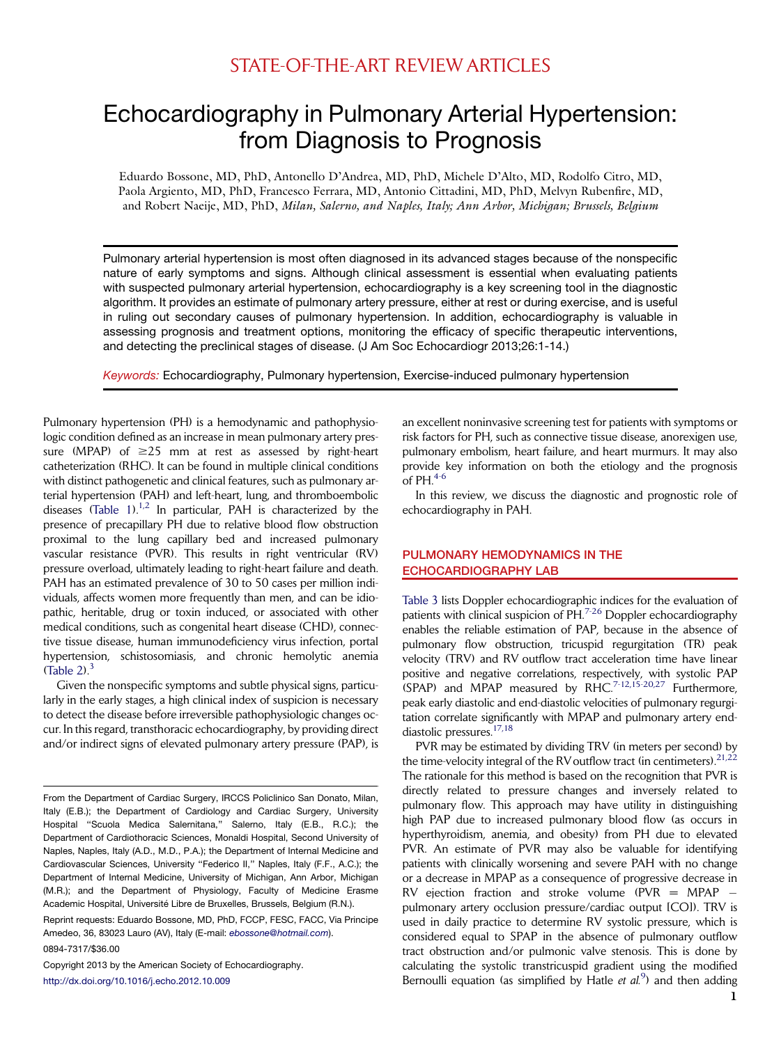# Echocardiography in Pulmonary Arterial Hypertension: from Diagnosis to Prognosis

Eduardo Bossone, MD, PhD, Antonello D'Andrea, MD, PhD, Michele D'Alto, MD, Rodolfo Citro, MD, Paola Argiento, MD, PhD, Francesco Ferrara, MD, Antonio Cittadini, MD, PhD, Melvyn Rubenfire, MD, and Robert Naeije, MD, PhD, Milan, Salerno, and Naples, Italy; Ann Arbor, Michigan; Brussels, Belgium

Pulmonary arterial hypertension is most often diagnosed in its advanced stages because of the nonspecific nature of early symptoms and signs. Although clinical assessment is essential when evaluating patients with suspected pulmonary arterial hypertension, echocardiography is a key screening tool in the diagnostic algorithm. It provides an estimate of pulmonary artery pressure, either at rest or during exercise, and is useful in ruling out secondary causes of pulmonary hypertension. In addition, echocardiography is valuable in assessing prognosis and treatment options, monitoring the efficacy of specific therapeutic interventions, and detecting the preclinical stages of disease. (J Am Soc Echocardiogr 2013;26:1-14.)

*Keywords:* Echocardiography, Pulmonary hypertension, Exercise-induced pulmonary hypertension

Pulmonary hypertension (PH) is a hemodynamic and pathophysiologic condition defined as an increase in mean pulmonary artery pressure (MPAP) of  $\geq$ 25 mm at rest as assessed by right-heart catheterization (RHC). It can be found in multiple clinical conditions with distinct pathogenetic and clinical features, such as pulmonary arterial hypertension (PAH) and left-heart, lung, and thromboembolic diseases (Table  $1$ ).<sup>[1,2](#page-10-0)</sup> In particular, PAH is characterized by the presence of precapillary PH due to relative blood flow obstruction proximal to the lung capillary bed and increased pulmonary vascular resistance (PVR). This results in right ventricular (RV) pressure overload, ultimately leading to right-heart failure and death. PAH has an estimated prevalence of 30 to 50 cases per million individuals, affects women more frequently than men, and can be idiopathic, heritable, drug or toxin induced, or associated with other medical conditions, such as congenital heart disease (CHD), connective tissue disease, human immunodeficiency virus infection, portal hypertension, schistosomiasis, and chronic hemolytic anemia  $(Table 2)<sup>3</sup>$  $(Table 2)<sup>3</sup>$ 

Given the nonspecific symptoms and subtle physical signs, particularly in the early stages, a high clinical index of suspicion is necessary to detect the disease before irreversible pathophysiologic changes occur. In this regard, transthoracic echocardiography, by providing direct and/or indirect signs of elevated pulmonary artery pressure (PAP), is

Reprint requests: Eduardo Bossone, MD, PhD, FCCP, FESC, FACC, Via Principe Amedeo, 36, 83023 Lauro (AV), Italy (E-mail: *[ebossone@hotmail.com](mailto:ebossone@hotmail.com)*).

0894-7317/\$36.00

Copyright 2013 by the American Society of Echocardiography. <http://dx.doi.org/10.1016/j.echo.2012.10.009>

an excellent noninvasive screening test for patients with symptoms or risk factors for PH, such as connective tissue disease, anorexigen use, pulmonary embolism, heart failure, and heart murmurs. It may also provide key information on both the etiology and the prognosis of  $PH<sup>4-6</sup>$  $PH<sup>4-6</sup>$  $PH<sup>4-6</sup>$ 

In this review, we discuss the diagnostic and prognostic role of echocardiography in PAH.

# PULMONARY HEMODYNAMICS IN THE ECHOCARDIOGRAPHY LAB

[Table 3](#page-4-0) lists Doppler echocardiographic indices for the evaluation of patients with clinical suspicion of PH.<sup>[7-26](#page-10-0)</sup> Doppler echocardiography enables the reliable estimation of PAP, because in the absence of pulmonary flow obstruction, tricuspid regurgitation (TR) peak velocity (TRV) and RV outflow tract acceleration time have linear positive and negative correlations, respectively, with systolic PAP (SPAP) and MPAP measured by RHC.<sup>7-12,15-20,27</sup> Furthermore, peak early diastolic and end-diastolic velocities of pulmonary regurgitation correlate significantly with MPAP and pulmonary artery enddiastolic pressures[.17,18](#page-10-0)

PVR may be estimated by dividing TRV (in meters per second) by the time-velocity integral of the RV outflow tract (in centimeters).  $21,22$ The rationale for this method is based on the recognition that PVR is directly related to pressure changes and inversely related to pulmonary flow. This approach may have utility in distinguishing high PAP due to increased pulmonary blood flow (as occurs in hyperthyroidism, anemia, and obesity) from PH due to elevated PVR. An estimate of PVR may also be valuable for identifying patients with clinically worsening and severe PAH with no change or a decrease in MPAP as a consequence of progressive decrease in RV ejection fraction and stroke volume (PVR =  $MPAP$ pulmonary artery occlusion pressure/cardiac output [CO]). TRV is used in daily practice to determine RV systolic pressure, which is considered equal to SPAP in the absence of pulmonary outflow tract obstruction and/or pulmonic valve stenosis. This is done by calculating the systolic transtricuspid gradient using the modified Bernoulli equation (as simplified by Hatle et  $al^9$  $al^9$ ) and then adding

From the Department of Cardiac Surgery, IRCCS Policlinico San Donato, Milan, Italy (E.B.); the Department of Cardiology and Cardiac Surgery, University Hospital "Scuola Medica Salernitana," Salerno, Italy (E.B., R.C.); the Department of Cardiothoracic Sciences, Monaldi Hospital, Second University of Naples, Naples, Italy (A.D., M.D., P.A.); the Department of Internal Medicine and Cardiovascular Sciences, University ''Federico II,'' Naples, Italy (F.F., A.C.); the Department of Internal Medicine, University of Michigan, Ann Arbor, Michigan (M.R.); and the Department of Physiology, Faculty of Medicine Erasme Academic Hospital, Université Libre de Bruxelles, Brussels, Belgium (R.N.).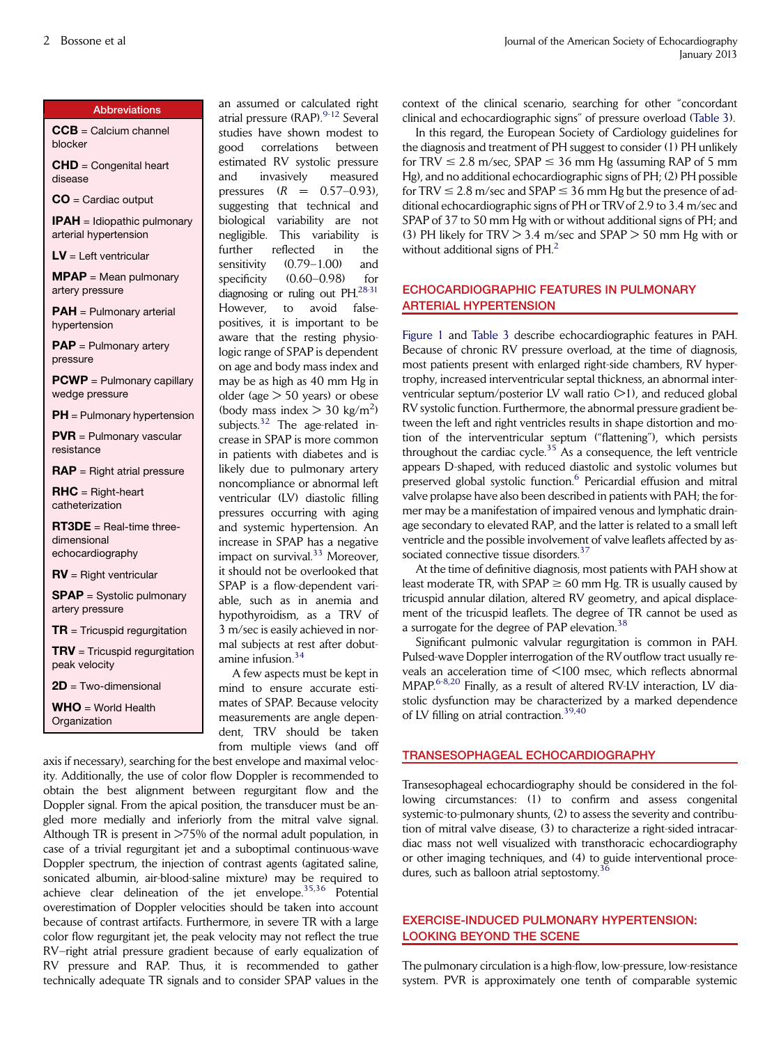#### Abbreviations

CCB = Calcium channel blocker

CHD = Congenital heart disease

CO = Cardiac output

**IPAH** = Idiopathic pulmonary arterial hypertension

 $LV =$  Left ventricular

 $MPAP = Mean$  pulmonary artery pressure

PAH = Pulmonary arterial hypertension

PAP = Pulmonary artery pressure

PCWP = Pulmonary capillary wedge pressure

PH = Pulmonary hypertension

PVR = Pulmonary vascular resistance

 $\mathbf{RAP} = \text{Right } \text{atrical pressure}$ 

 $RHC = Right-heart$ catheterization

RT3DE = Real-time threedimensional echocardiography

RV = Right ventricular

SPAP = Systolic pulmonary artery pressure

 $TR = Tricuspid$  regurgitation

 $TRV = Tricuspid$  regurgitation peak velocity

 $2D$  = Two-dimensional

 $WHO = Word$  Health **Organization** 

an assumed or calculated right atrial pressure (RAP).<sup>[9-12](#page-10-0)</sup> Several studies have shown modest to good correlations between estimated RV systolic pressure and invasively measured pressures  $(R = 0.57 - 0.93)$ , suggesting that technical and biological variability are not negligible. This variability is further reflected in the sensitivity  $(0.79-1.00)$  and specificity  $(0.60-0.98)$  for diagnosing or ruling out PH[.28-31](#page-11-0) However, to avoid falsepositives, it is important to be aware that the resting physiologic range of SPAP is dependent on age and body mass index and may be as high as 40 mm Hg in older (age > 50 years) or obese (body mass index  $>$  30 kg/m<sup>2</sup>) subjects.<sup>[32](#page-11-0)</sup> The age-related increase in SPAP is more common in patients with diabetes and is likely due to pulmonary artery noncompliance or abnormal left ventricular (LV) diastolic filling pressures occurring with aging and systemic hypertension. An increase in SPAP has a negative impact on survival.<sup>[33](#page-11-0)</sup> Moreover, it should not be overlooked that SPAP is a flow-dependent variable, such as in anemia and hypothyroidism, as a TRV of 3 m/sec is easily achieved in normal subjects at rest after dobut-amine infusion.<sup>[34](#page-11-0)</sup>

A few aspects must be kept in mind to ensure accurate estimates of SPAP. Because velocity measurements are angle dependent, TRV should be taken from multiple views (and off

axis if necessary), searching for the best envelope and maximal velocity. Additionally, the use of color flow Doppler is recommended to obtain the best alignment between regurgitant flow and the Doppler signal. From the apical position, the transducer must be angled more medially and inferiorly from the mitral valve signal. Although TR is present in >75% of the normal adult population, in case of a trivial regurgitant jet and a suboptimal continuous-wave Doppler spectrum, the injection of contrast agents (agitated saline, sonicated albumin, air-blood-saline mixture) may be required to achieve clear delineation of the jet envelope.[35,36](#page-11-0) Potential overestimation of Doppler velocities should be taken into account because of contrast artifacts. Furthermore, in severe TR with a large color flow regurgitant jet, the peak velocity may not reflect the true RV–right atrial pressure gradient because of early equalization of RV pressure and RAP. Thus, it is recommended to gather technically adequate TR signals and to consider SPAP values in the

context of the clinical scenario, searching for other ''concordant clinical and echocardiographic signs'' of pressure overload [\(Table 3](#page-4-0)).

In this regard, the European Society of Cardiology guidelines for the diagnosis and treatment of PH suggest to consider (1) PH unlikely for TRV  $\leq$  2.8 m/sec, SPAP  $\leq$  36 mm Hg (assuming RAP of 5 mm Hg), and no additional echocardiographic signs of PH; (2) PH possible for TRV  $\leq$  2.8 m/sec and SPAP  $\leq$  36 mm Hg but the presence of additional echocardiographic signs of PH or TRVof 2.9 to 3.4 m/sec and SPAP of 37 to 50 mm Hg with or without additional signs of PH; and (3) PH likely for  $TRV > 3.4$  m/sec and  $SPAP > 50$  mm Hg with or without additional signs of PH.<sup>[2](#page-10-0)</sup>

# ECHOCARDIOGRAPHIC FEATURES IN PULMONARY ARTERIAL HYPERTENSION

[Figure 1](#page-5-0) and [Table 3](#page-4-0) describe echocardiographic features in PAH. Because of chronic RV pressure overload, at the time of diagnosis, most patients present with enlarged right-side chambers, RV hypertrophy, increased interventricular septal thickness, an abnormal interventricular septum/posterior LV wall ratio  $(>1)$ , and reduced global RV systolic function. Furthermore, the abnormal pressure gradient between the left and right ventricles results in shape distortion and motion of the interventricular septum (''flattening''), which persists throughout the cardiac cycle.<sup>[35](#page-11-0)</sup> As a consequence, the left ventricle appears D-shaped, with reduced diastolic and systolic volumes but preserved global systolic function.<sup>[6](#page-10-0)</sup> Pericardial effusion and mitral valve prolapse have also been described in patients with PAH; the former may be a manifestation of impaired venous and lymphatic drainage secondary to elevated RAP, and the latter is related to a small left ventricle and the possible involvement of valve leaflets affected by as-sociated connective tissue disorders.<sup>[37](#page-11-0)</sup>

At the time of definitive diagnosis, most patients with PAH show at least moderate TR, with  $SPAP \ge 60$  mm Hg. TR is usually caused by tricuspid annular dilation, altered RV geometry, and apical displacement of the tricuspid leaflets. The degree of TR cannot be used as a surrogate for the degree of PAP elevation.<sup>[38](#page-11-0)</sup>

Significant pulmonic valvular regurgitation is common in PAH. Pulsed-wave Doppler interrogation of the RV outflow tract usually reveals an acceleration time of <100 msec, which reflects abnormal MPAP. $6-8,20$  Finally, as a result of altered RV-LV interaction, LV diastolic dysfunction may be characterized by a marked dependence of LV filling on atrial contraction.<sup>[39,40](#page-11-0)</sup>

# TRANSESOPHAGEAL ECHOCARDIOGRAPHY

Transesophageal echocardiography should be considered in the following circumstances: (1) to confirm and assess congenital systemic-to-pulmonary shunts, (2) to assess the severity and contribution of mitral valve disease, (3) to characterize a right-sided intracardiac mass not well visualized with transthoracic echocardiography or other imaging techniques, and (4) to guide interventional procedures, such as balloon atrial septostomy.<sup>3</sup>

# EXERCISE-INDUCED PULMONARY HYPERTENSION: LOOKING BEYOND THE SCENE

The pulmonary circulation is a high-flow, low-pressure, low-resistance system. PVR is approximately one tenth of comparable systemic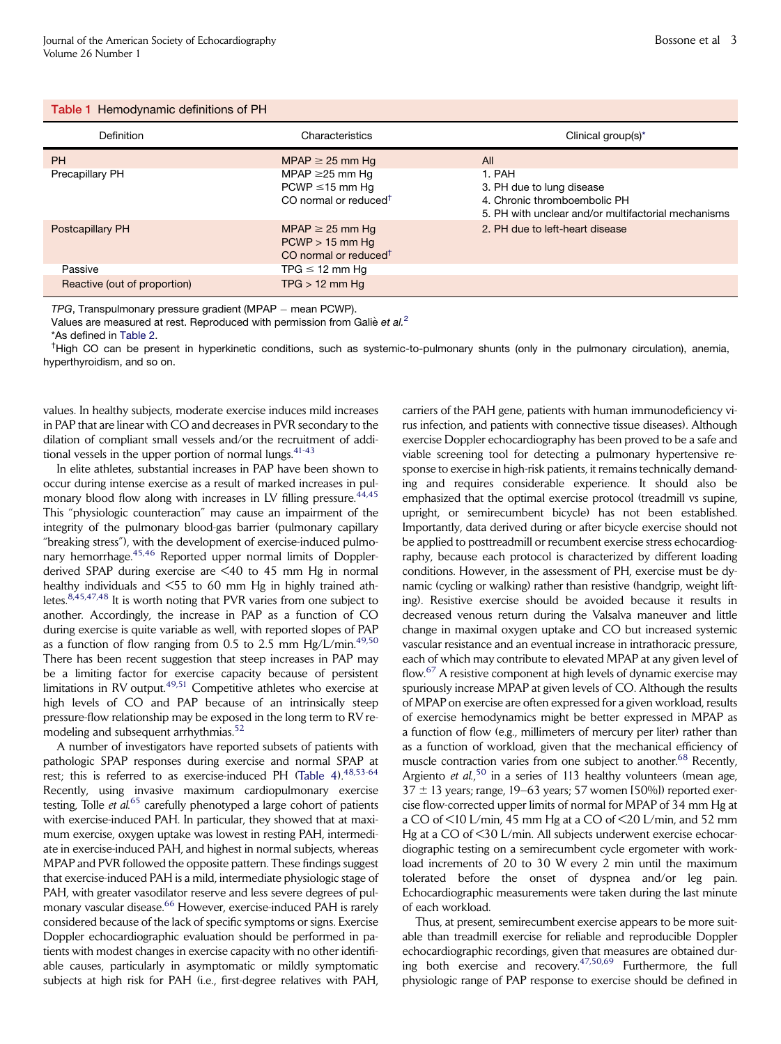#### <span id="page-2-0"></span>Table 1 Hemodynamic definitions of PH

| <b>Definition</b>            | Characteristics                                                                                   | Clinical group(s)*                                                                                                         |
|------------------------------|---------------------------------------------------------------------------------------------------|----------------------------------------------------------------------------------------------------------------------------|
| <b>PH</b>                    | $MPAP \geq 25$ mm Hg                                                                              | All                                                                                                                        |
| Precapillary PH              | MPAP $\geq$ 25 mm Hg<br>$PCWP \le 15$ mm Hg<br>CO normal or reduced <sup>+</sup>                  | 1. PAH<br>3. PH due to lung disease<br>4. Chronic thromboembolic PH<br>5. PH with unclear and/or multifactorial mechanisms |
| Postcapillary PH             | MPAP $\geq$ 25 mm Hg<br>$PCWP > 15$ mm Hg<br>CO normal or reduced <sup><math>\dagger</math></sup> | 2. PH due to left-heart disease                                                                                            |
| Passive                      | TPG $\leq$ 12 mm Hg                                                                               |                                                                                                                            |
| Reactive (out of proportion) | $TPG > 12$ mm Hg                                                                                  |                                                                                                                            |

*TPG*, Transpulmonary pressure gradient (MPAP – mean PCWP).

Values are measured at rest. Reproduced with permission from Galie *et al.*[2](#page-10-0)

\*As defined in [Table 2](#page-3-0). †

<sup>†</sup>High CO can be present in hyperkinetic conditions, such as systemic-to-pulmonary shunts (only in the pulmonary circulation), anemia, hyperthyroidism, and so on.

values. In healthy subjects, moderate exercise induces mild increases in PAP that are linear with CO and decreases in PVR secondary to the dilation of compliant small vessels and/or the recruitment of additional vessels in the upper portion of normal lungs.  $41-43$ 

In elite athletes, substantial increases in PAP have been shown to occur during intense exercise as a result of marked increases in pulmonary blood flow along with increases in LV filling pressure.  $44,45$ This ''physiologic counteraction'' may cause an impairment of the integrity of the pulmonary blood-gas barrier (pulmonary capillary ''breaking stress''), with the development of exercise-induced pulmonary hemorrhage.[45,46](#page-11-0) Reported upper normal limits of Dopplerderived SPAP during exercise are <40 to 45 mm Hg in normal healthy individuals and <55 to 60 mm Hg in highly trained athletes.[8,45,47,48](#page-10-0) It is worth noting that PVR varies from one subject to another. Accordingly, the increase in PAP as a function of CO during exercise is quite variable as well, with reported slopes of PAP as a function of flow ranging from 0.5 to 2.5 mm Hg/L/min.<sup>[49,50](#page-11-0)</sup> There has been recent suggestion that steep increases in PAP may be a limiting factor for exercise capacity because of persistent limitations in RV output.<sup>[49,51](#page-11-0)</sup> Competitive athletes who exercise at high levels of CO and PAP because of an intrinsically steep pressure-flow relationship may be exposed in the long term to RV re-modeling and subsequent arrhythmias.<sup>[52](#page-11-0)</sup>

A number of investigators have reported subsets of patients with pathologic SPAP responses during exercise and normal SPAP at rest; this is referred to as exercise-induced PH (Table  $4$ ).  $48,53-64$ Recently, using invasive maximum cardiopulmonary exercise testing, Tolle et  $al$ .<sup>[65](#page-12-0)</sup> carefully phenotyped a large cohort of patients with exercise-induced PAH. In particular, they showed that at maximum exercise, oxygen uptake was lowest in resting PAH, intermediate in exercise-induced PAH, and highest in normal subjects, whereas MPAP and PVR followed the opposite pattern. These findings suggest that exercise-induced PAH is a mild, intermediate physiologic stage of PAH, with greater vasodilator reserve and less severe degrees of pul-monary vascular disease.<sup>[66](#page-12-0)</sup> However, exercise-induced PAH is rarely considered because of the lack of specific symptoms or signs. Exercise Doppler echocardiographic evaluation should be performed in patients with modest changes in exercise capacity with no other identifiable causes, particularly in asymptomatic or mildly symptomatic subjects at high risk for PAH (i.e., first-degree relatives with PAH,

carriers of the PAH gene, patients with human immunodeficiency virus infection, and patients with connective tissue diseases). Although exercise Doppler echocardiography has been proved to be a safe and viable screening tool for detecting a pulmonary hypertensive response to exercise in high-risk patients, it remains technically demanding and requires considerable experience. It should also be emphasized that the optimal exercise protocol (treadmill vs supine, upright, or semirecumbent bicycle) has not been established. Importantly, data derived during or after bicycle exercise should not be applied to posttreadmill or recumbent exercise stress echocardiography, because each protocol is characterized by different loading conditions. However, in the assessment of PH, exercise must be dynamic (cycling or walking) rather than resistive (handgrip, weight lifting). Resistive exercise should be avoided because it results in decreased venous return during the Valsalva maneuver and little change in maximal oxygen uptake and CO but increased systemic vascular resistance and an eventual increase in intrathoracic pressure, each of which may contribute to elevated MPAP at any given level of flow.<sup>[67](#page-12-0)</sup> A resistive component at high levels of dynamic exercise may spuriously increase MPAP at given levels of CO. Although the results of MPAP on exercise are often expressed for a given workload, results of exercise hemodynamics might be better expressed in MPAP as a function of flow (e.g., millimeters of mercury per liter) rather than as a function of workload, given that the mechanical efficiency of muscle contraction varies from one subject to another.<sup>[68](#page-12-0)</sup> Recently, Argiento et al.<sup>[50](#page-11-0)</sup> in a series of 113 healthy volunteers (mean age,  $37 \pm 13$  years; range, 19–63 years; 57 women [50%]) reported exercise flow-corrected upper limits of normal for MPAP of 34 mm Hg at a CO of <10 L/min, 45 mm Hg at a CO of <20 L/min, and 52 mm Hg at a CO of <30 L/min. All subjects underwent exercise echocardiographic testing on a semirecumbent cycle ergometer with workload increments of 20 to 30 W every 2 min until the maximum tolerated before the onset of dyspnea and/or leg pain. Echocardiographic measurements were taken during the last minute of each workload.

Thus, at present, semirecumbent exercise appears to be more suitable than treadmill exercise for reliable and reproducible Doppler echocardiographic recordings, given that measures are obtained during both exercise and recovery.  $47,50,69$  Furthermore, the full physiologic range of PAP response to exercise should be defined in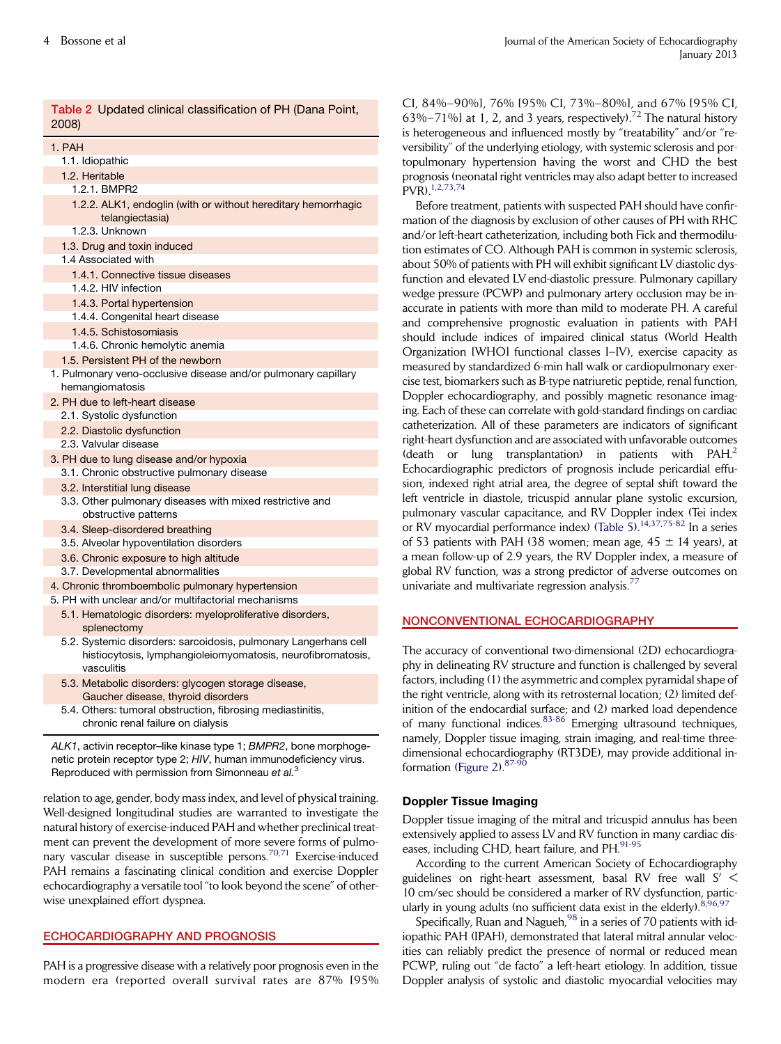<span id="page-3-0"></span>

| Table 2 Updated clinical classification of PH (Dana Point,<br>2008)                                                                          |
|----------------------------------------------------------------------------------------------------------------------------------------------|
| 1. PAH                                                                                                                                       |
| 1.1. Idiopathic                                                                                                                              |
| 1.2. Heritable                                                                                                                               |
| 1.2.1. BMPR2                                                                                                                                 |
| 1.2.2. ALK1, endoglin (with or without hereditary hemorrhagic<br>telangiectasia)                                                             |
| 1.2.3. Unknown                                                                                                                               |
| 1.3. Drug and toxin induced                                                                                                                  |
| 1.4 Associated with                                                                                                                          |
| 1.4.1. Connective tissue diseases                                                                                                            |
| 1.4.2. HIV infection                                                                                                                         |
| 1.4.3. Portal hypertension                                                                                                                   |
| 1.4.4. Congenital heart disease                                                                                                              |
| 1.4.5. Schistosomiasis                                                                                                                       |
| 1.4.6. Chronic hemolytic anemia                                                                                                              |
| 1.5. Persistent PH of the newborn                                                                                                            |
| 1. Pulmonary veno-occlusive disease and/or pulmonary capillary<br>hemangiomatosis                                                            |
| 2. PH due to left-heart disease                                                                                                              |
| 2.1. Systolic dysfunction                                                                                                                    |
| 2.2. Diastolic dysfunction                                                                                                                   |
| 2.3. Valvular disease                                                                                                                        |
| 3. PH due to lung disease and/or hypoxia                                                                                                     |
| 3.1. Chronic obstructive pulmonary disease                                                                                                   |
| 3.2. Interstitial lung disease                                                                                                               |
| 3.3. Other pulmonary diseases with mixed restrictive and<br>obstructive patterns                                                             |
| 3.4. Sleep-disordered breathing                                                                                                              |
| 3.5. Alveolar hypoventilation disorders                                                                                                      |
| 3.6. Chronic exposure to high altitude                                                                                                       |
| 3.7. Developmental abnormalities                                                                                                             |
| 4. Chronic thromboembolic pulmonary hypertension                                                                                             |
| 5. PH with unclear and/or multifactorial mechanisms                                                                                          |
| 5.1. Hematologic disorders: myeloproliferative disorders,                                                                                    |
| splenectomy                                                                                                                                  |
| 5.2. Systemic disorders: sarcoidosis, pulmonary Langerhans cell<br>histiocytosis, lymphangioleiomyomatosis, neurofibromatosis,<br>vasculitis |

- 5.3. Metabolic disorders: glycogen storage disease, Gaucher disease, thyroid disorders
- 5.4. Others: tumoral obstruction, fibrosing mediastinitis, chronic renal failure on dialysis

*ALK1*, activin receptor–like kinase type 1; *BMPR2*, bone morphogenetic protein receptor type 2; *HIV*, human immunodeficiency virus. Reproduced with permission from Simonneau *et al.*[3](#page-10-0)

relation to age, gender, body mass index, and level of physical training. Well-designed longitudinal studies are warranted to investigate the natural history of exercise-induced PAH and whether preclinical treatment can prevent the development of more severe forms of pulmo-nary vascular disease in susceptible persons.<sup>[70,71](#page-12-0)</sup> Exercise-induced PAH remains a fascinating clinical condition and exercise Doppler echocardiography a versatile tool ''to look beyond the scene'' of otherwise unexplained effort dyspnea.

## ECHOCARDIOGRAPHY AND PROGNOSIS

PAH is a progressive disease with a relatively poor prognosis even in the modern era (reported overall survival rates are 87% [95% CI, 84%–90%], 76% [95% CI, 73%–80%], and 67% [95% CI,  $696 - 71\%$  at 1, 2, and 3 years, respectively).<sup>[72](#page-12-0)</sup> The natural history heterogeneous and influenced mostly by "treatability" and/or "reersibility" of the underlying etiology, with systemic sclerosis and porpulmonary hypertension having the worst and CHD the best prognosis (neonatal right ventricles may also adapt better to increased  $(R)$ <sup>[1,2,73,74](#page-10-0)</sup>

Before treatment, patients with suspected PAH should have confiration of the diagnosis by exclusion of other causes of PH with RHC d/or left-heart catheterization, including both Fick and thermodiluon estimates of CO. Although PAH is common in systemic sclerosis, out 50% of patients with PH will exhibit significant LV diastolic dysnction and elevated LV end-diastolic pressure. Pulmonary capillary edge pressure (PCWP) and pulmonary artery occlusion may be incurate in patients with more than mild to moderate PH. A careful and comprehensive prognostic evaluation in patients with PAH ould include indices of impaired clinical status (World Health rganization [WHO] functional classes I–IV), exercise capacity as easured by standardized 6-min hall walk or cardiopulmonary exerse test, biomarkers such as B-type natriuretic peptide, renal function, oppler echocardiography, and possibly magnetic resonance imagg. Each of these can correlate with gold-standard findings on cardiac theterization. All of these parameters are indicators of significant tht-heart dysfunction and are associated with unfavorable outcomes eath or lung transplantation) in patients with  $PAH<sup>2</sup>$  $PAH<sup>2</sup>$  $PAH<sup>2</sup>$ chocardiographic predictors of prognosis include pericardial effusion, indexed right atrial area, the degree of septal shift toward the ft ventricle in diastole, tricuspid annular plane systolic excursion, pulmonary vascular capacitance, and RV Doppler index (Tei index RV myocardial performance index) ([Table 5\)](#page-7-0).<sup>[14,37,75-82](#page-10-0)</sup> In a series 53 patients with PAH (38 women; mean age,  $45 \pm 14$  years), at mean follow-up of 2.9 years, the RV Doppler index, a measure of obal RV function, was a strong predictor of adverse outcomes on nivariate and multivariate regression analysis.<sup>[77](#page-12-0)</sup>

## ONCONVENTIONAL ECHOCARDIOGRAPHY

ne accuracy of conventional two-dimensional (2D) echocardiograny in delineating RV structure and function is challenged by several factors, including (1) the asymmetric and complex pyramidal shape of the right ventricle, along with its retrosternal location; (2) limited definition of the endocardial surface; and (2) marked load dependence of many functional indices.<sup>[83-86](#page-12-0)</sup> Emerging ultrasound techniques, namely, Doppler tissue imaging, strain imaging, and real-time threedimensional echocardiography (RT3DE), may provide additional in-formation [\(Figure 2](#page-8-0)). $87-9$ 

## Doppler Tissue Imaging

Doppler tissue imaging of the mitral and tricuspid annulus has been extensively applied to assess LV and RV function in many cardiac dis-eases, including CHD, heart failure, and PH.<sup>[91-95](#page-12-0)</sup>

According to the current American Society of Echocardiography guidelines on right-heart assessment, basal RV free wall  $S'$  < 10 cm/sec should be considered a marker of RV dysfunction, partic-ularly in young adults (no sufficient data exist in the elderly).<sup>[8,96,97](#page-10-0)</sup>

Specifically, Ruan and Nagueh,<sup>[98](#page-12-0)</sup> in a series of 70 patients with idiopathic PAH (IPAH), demonstrated that lateral mitral annular velocities can reliably predict the presence of normal or reduced mean PCWP, ruling out "de facto" a left-heart etiology. In addition, tissue Doppler analysis of systolic and diastolic myocardial velocities may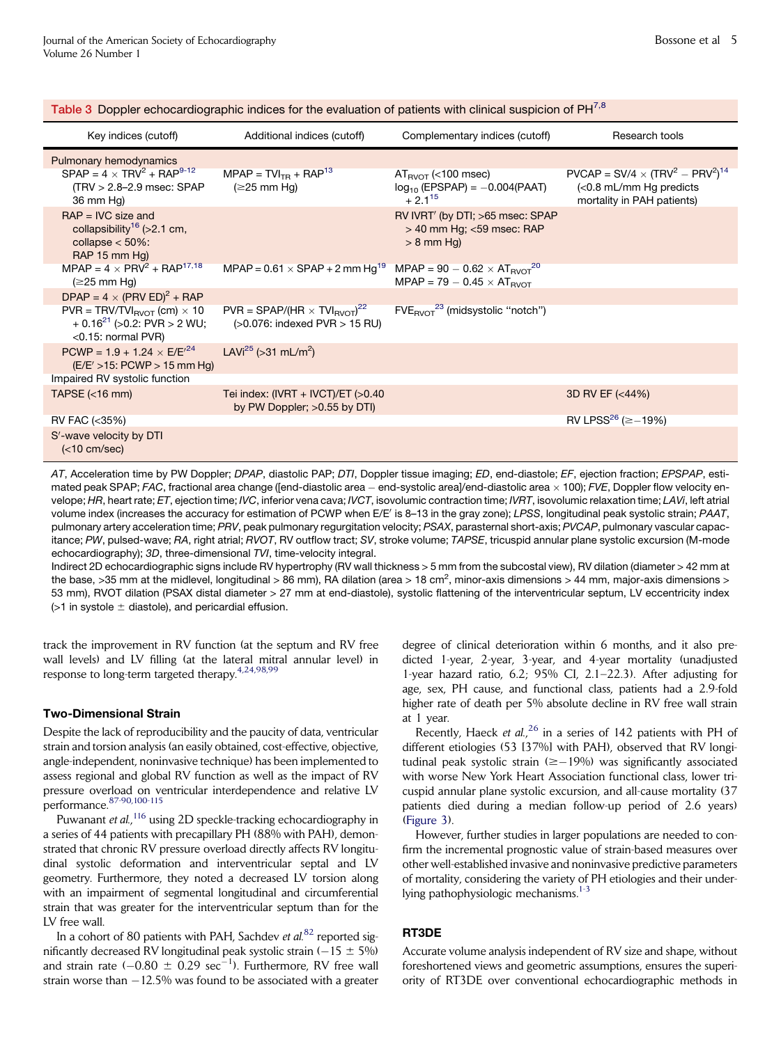| Key indices (cutoff)                                                                                                 | Additional indices (cutoff)                                                           | Complementary indices (cutoff)                                                                | Research tools                                                                                      |
|----------------------------------------------------------------------------------------------------------------------|---------------------------------------------------------------------------------------|-----------------------------------------------------------------------------------------------|-----------------------------------------------------------------------------------------------------|
| Pulmonary hemodynamics                                                                                               |                                                                                       |                                                                                               |                                                                                                     |
| $SPAP = 4 \times TNV^2 + RAP^{9-12}$<br>$(TRV > 2.8-2.9$ msec: SPAP<br>36 mm Hg)                                     | $MPAP = TVITR + RAP13$<br>$(\geq 25$ mm Hg)                                           | $AT_{\text{BVOT}}$ (<100 msec)<br>$log_{10}$ (EPSPAP) = -0.004(PAAT)<br>$+2.1^{15}$           | $PVCAP = SV/4 \times (TRV^2 - PRV^2)^{14}$<br>(<0.8 mL/mm Hg predicts<br>mortality in PAH patients) |
| $PAP = IVC$ size and<br>collapsibility <sup>16</sup> (>2.1 cm,<br>collapse $<$ 50%:<br>RAP 15 mm Hg)                 |                                                                                       | RV IVRT' (by DTI; >65 msec: SPAP<br>$>$ 40 mm Hg; $<$ 59 msec: RAP<br>$> 8$ mm Hg)            |                                                                                                     |
| $MPAP = 4 \times PRV^2 + RAP^{17,18}$<br>$(\geq$ 25 mm Hg)                                                           | MPAP = $0.61 \times$ SPAP + 2 mm Hg <sup>19</sup>                                     | MPAP = $90 - 0.62 \times AT_{\text{RVOT}}^{20}$<br>$MPAP = 79 - 0.45 \times AT_{\text{BVOT}}$ |                                                                                                     |
| DPAP = $4 \times (PRV ED)^2$ + RAP                                                                                   |                                                                                       |                                                                                               |                                                                                                     |
| $PVR = TRV/TVI_{\text{RVOT}}$ (cm) $\times$ 10<br>$+$ 0.16 <sup>21</sup> (>0.2: PVR > 2 WU;<br>$<$ 0.15: normal PVR) | $PVR = SPAP/(HR \times TVI_{\text{RVOT}})^{22}$<br>$(>0.076$ : indexed PVR $> 15$ RU) | $FVERVOT23$ (midsystolic "notch")                                                             |                                                                                                     |
| $PCWP = 1.9 + 1.24 \times E/E^{24}$<br>$(E/E' > 15$ : PCWP > 15 mm Hg)                                               | LAVi <sup>25</sup> (> 31 mL/m <sup>2</sup> )                                          |                                                                                               |                                                                                                     |
| Impaired RV systolic function                                                                                        |                                                                                       |                                                                                               |                                                                                                     |
| TAPSE $(< 16$ mm)                                                                                                    | Tei index: $(IVRT + IVCT)/ET$ (>0.40<br>by PW Doppler; >0.55 by DTI)                  |                                                                                               | 3D RV EF (<44%)                                                                                     |
| RV FAC (<35%)                                                                                                        |                                                                                       |                                                                                               | RV LPSS <sup>26</sup> ( $\ge$ –19%)                                                                 |
| S'-wave velocity by DTI<br>(<10 cm/sec)                                                                              |                                                                                       |                                                                                               |                                                                                                     |

<span id="page-4-0"></span>Table 3 Doppler echocardiographic indices for the evaluation of patients with clinical suspicion of PH<sup>[7,8](#page-10-0)</sup>

*AT*, Acceleration time by PW Doppler; *DPAP*, diastolic PAP; *DTI*, Doppler tissue imaging; *ED*, end-diastole; *EF*, ejection fraction; *EPSPAP*, estimated peak SPAP; *FAC*, fractional area change ([end-diastolic area - end-systolic area]/end-diastolic area  $\times$  100); *FVE*, Doppler flow velocity envelope; *HR*, heart rate; *ET*, ejection time; *IVC*, inferior vena cava; *IVCT*, isovolumic contraction time; *IVRT*, isovolumic relaxation time; *LAVi*, left atrial volume index (increases the accuracy for estimation of PCWP when E/E' is 8–13 in the gray zone); *LPSS*, longitudinal peak systolic strain; *PAAT*, pulmonary artery acceleration time; *PRV*, peak pulmonary regurgitation velocity; *PSAX*, parasternal short-axis; *PVCAP*, pulmonary vascular capacitance; *PW*, pulsed-wave; *RA*, right atrial; *RVOT*, RV outflow tract; *SV*, stroke volume; *TAPSE*, tricuspid annular plane systolic excursion (M-mode echocardiography); *3D*, three-dimensional *TVI*, time-velocity integral.

Indirect 2D echocardiographic signs include RV hypertrophy (RV wall thickness > 5 mm from the subcostal view), RV dilation (diameter > 42 mm at the base, >35 mm at the midlevel, longitudinal > 86 mm), RA dilation (area > 18 cm<sup>2</sup>, minor-axis dimensions > 44 mm, major-axis dimensions > 53 mm), RVOT dilation (PSAX distal diameter > 27 mm at end-diastole), systolic flattening of the interventricular septum, LV eccentricity index  $($ >1 in systole  $\pm$  diastole), and pericardial effusion.

track the improvement in RV function (at the septum and RV free wall levels) and LV filling (at the lateral mitral annular level) in response to long-term targeted therapy.<sup>[4,24,98,99](#page-10-0)</sup>

#### Two-Dimensional Strain

Despite the lack of reproducibility and the paucity of data, ventricular strain and torsion analysis (an easily obtained, cost-effective, objective, angle-independent, noninvasive technique) has been implemented to assess regional and global RV function as well as the impact of RV pressure overload on ventricular interdependence and relative LV performance.[87-90,100-115](#page-12-0)

Puwanant et al.,<sup>[116](#page-13-0)</sup> using 2D speckle-tracking echocardiography in a series of 44 patients with precapillary PH (88% with PAH), demonstrated that chronic RV pressure overload directly affects RV longitudinal systolic deformation and interventricular septal and LV geometry. Furthermore, they noted a decreased LV torsion along with an impairment of segmental longitudinal and circumferential strain that was greater for the interventricular septum than for the LV free wall.

In a cohort of 80 patients with PAH, Sachdev et  $al$ .<sup>[82](#page-12-0)</sup> reported significantly decreased RV longitudinal peak systolic strain  $(-15 \pm 5\%)$ and strain rate  $(-0.80 \pm 0.29 \text{ sec}^{-1})$ . Furthermore, RV free wall strain worse than  $-12.5\%$  was found to be associated with a greater

degree of clinical deterioration within 6 months, and it also predicted 1-year, 2-year, 3-year, and 4-year mortality (unadjusted 1-year hazard ratio, 6.2; 95% CI, 2.1–22.3). After adjusting for age, sex, PH cause, and functional class, patients had a 2.9-fold higher rate of death per 5% absolute decline in RV free wall strain at 1 year.

Recently, Haeck et al.,<sup>[26](#page-10-0)</sup> in a series of 142 patients with PH of different etiologies (53 [37%] with PAH), observed that RV longitudinal peak systolic strain  $(\geq -19\%)$  was significantly associated with worse New York Heart Association functional class, lower tricuspid annular plane systolic excursion, and all-cause mortality (37 patients died during a median follow-up period of 2.6 years) [\(Figure 3\)](#page-8-0).

However, further studies in larger populations are needed to confirm the incremental prognostic value of strain-based measures over other well-established invasive and noninvasive predictive parameters of mortality, considering the variety of PH etiologies and their underlying pathophysiologic mechanisms. $1-3$ 

## RT3DE

Accurate volume analysis independent of RV size and shape, without foreshortened views and geometric assumptions, ensures the superiority of RT3DE over conventional echocardiographic methods in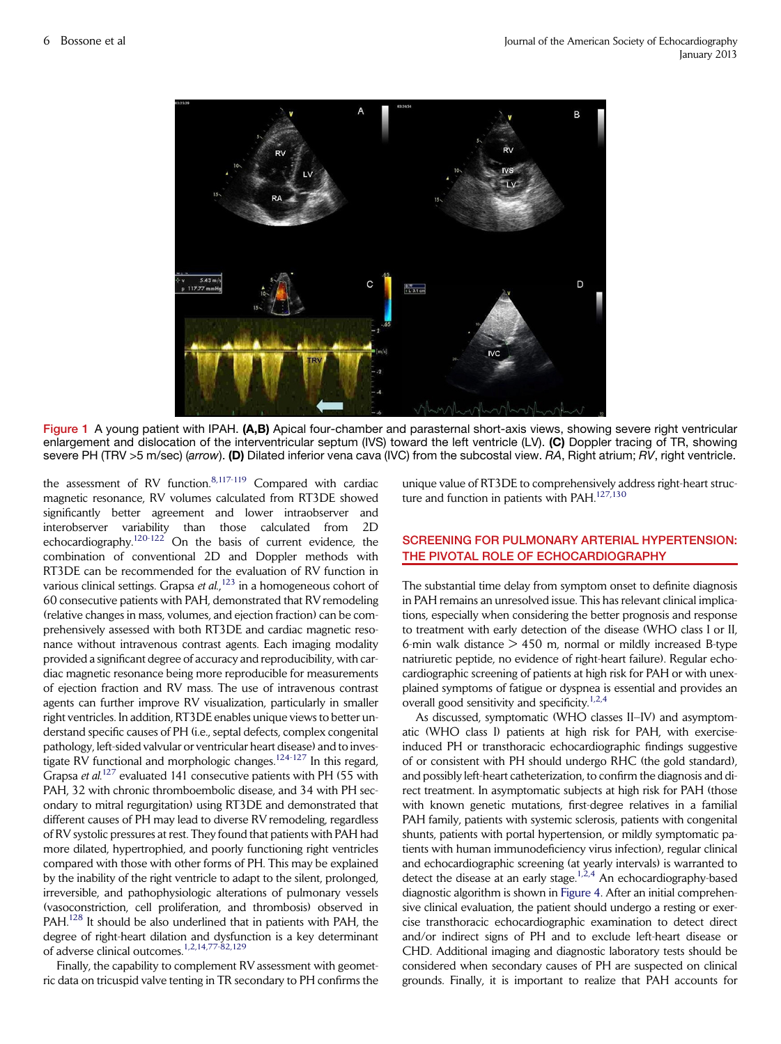<span id="page-5-0"></span>

Figure 1 A young patient with IPAH. (A,B) Apical four-chamber and parasternal short-axis views, showing severe right ventricular enlargement and dislocation of the interventricular septum (IVS) toward the left ventricle (LV). (C) Doppler tracing of TR, showing severe PH (TRV >5 m/sec) (*arrow*). (D) Dilated inferior vena cava (IVC) from the subcostal view. *RA*, Right atrium; *RV*, right ventricle.

the assessment of RV function.<sup>[8,117-119](#page-10-0)</sup> Compared with cardiac magnetic resonance, RV volumes calculated from RT3DE showed significantly better agreement and lower intraobserver and interobserver variability than those calculated from 2D echocardiography.<sup>120-122</sup> On the basis of current evidence, the combination of conventional 2D and Doppler methods with RT3DE can be recommended for the evaluation of RV function in various clinical settings. Grapsa et al.,<sup>[123](#page-13-0)</sup> in a homogeneous cohort of 60 consecutive patients with PAH, demonstrated that RV remodeling (relative changes in mass, volumes, and ejection fraction) can be comprehensively assessed with both RT3DE and cardiac magnetic resonance without intravenous contrast agents. Each imaging modality provided a significant degree of accuracy and reproducibility, with cardiac magnetic resonance being more reproducible for measurements of ejection fraction and RV mass. The use of intravenous contrast agents can further improve RV visualization, particularly in smaller right ventricles. In addition, RT3DE enables unique views to better understand specific causes of PH (i.e., septal defects, complex congenital pathology, left-sided valvular or ventricular heart disease) and to inves-tigate RV functional and morphologic changes.<sup>[124-127](#page-13-0)</sup> In this regard, Grapsa et  $al$ <sup>[127](#page-13-0)</sup> evaluated 141 consecutive patients with PH (55 with PAH, 32 with chronic thromboembolic disease, and 34 with PH secondary to mitral regurgitation) using RT3DE and demonstrated that different causes of PH may lead to diverse RV remodeling, regardless of RV systolic pressures at rest. They found that patients with PAH had more dilated, hypertrophied, and poorly functioning right ventricles compared with those with other forms of PH. This may be explained by the inability of the right ventricle to adapt to the silent, prolonged, irreversible, and pathophysiologic alterations of pulmonary vessels (vasoconstriction, cell proliferation, and thrombosis) observed in PAH.<sup>[128](#page-13-0)</sup> It should be also underlined that in patients with PAH, the degree of right-heart dilation and dysfunction is a key determinant of adverse clinical outcomes.<sup>[1,2,14,77-82,129](#page-10-0)</sup>

Finally, the capability to complement RV assessment with geometric data on tricuspid valve tenting in TR secondary to PH confirms the unique value of RT3DE to comprehensively address right-heart struc-ture and function in patients with PAH.<sup>[127,130](#page-13-0)</sup>

# SCREENING FOR PULMONARY ARTERIAL HYPERTENSION: THE PIVOTAL ROLE OF ECHOCARDIOGRAPHY

The substantial time delay from symptom onset to definite diagnosis in PAH remains an unresolved issue. This has relevant clinical implications, especially when considering the better prognosis and response to treatment with early detection of the disease (WHO class I or II, 6-min walk distance  $> 450$  m, normal or mildly increased B-type natriuretic peptide, no evidence of right-heart failure). Regular echocardiographic screening of patients at high risk for PAH or with unexplained symptoms of fatigue or dyspnea is essential and provides an overall good sensitivity and specificity.<sup>[1,2,4](#page-10-0)</sup>

As discussed, symptomatic (WHO classes II–IV) and asymptomatic (WHO class I) patients at high risk for PAH, with exerciseinduced PH or transthoracic echocardiographic findings suggestive of or consistent with PH should undergo RHC (the gold standard), and possibly left-heart catheterization, to confirm the diagnosis and direct treatment. In asymptomatic subjects at high risk for PAH (those with known genetic mutations, first-degree relatives in a familial PAH family, patients with systemic sclerosis, patients with congenital shunts, patients with portal hypertension, or mildly symptomatic patients with human immunodeficiency virus infection), regular clinical and echocardiographic screening (at yearly intervals) is warranted to detect the disease at an early stage.<sup>1,2,4</sup> An echocardiography-based diagnostic algorithm is shown in [Figure 4.](#page-9-0) After an initial comprehensive clinical evaluation, the patient should undergo a resting or exercise transthoracic echocardiographic examination to detect direct and/or indirect signs of PH and to exclude left-heart disease or CHD. Additional imaging and diagnostic laboratory tests should be considered when secondary causes of PH are suspected on clinical grounds. Finally, it is important to realize that PAH accounts for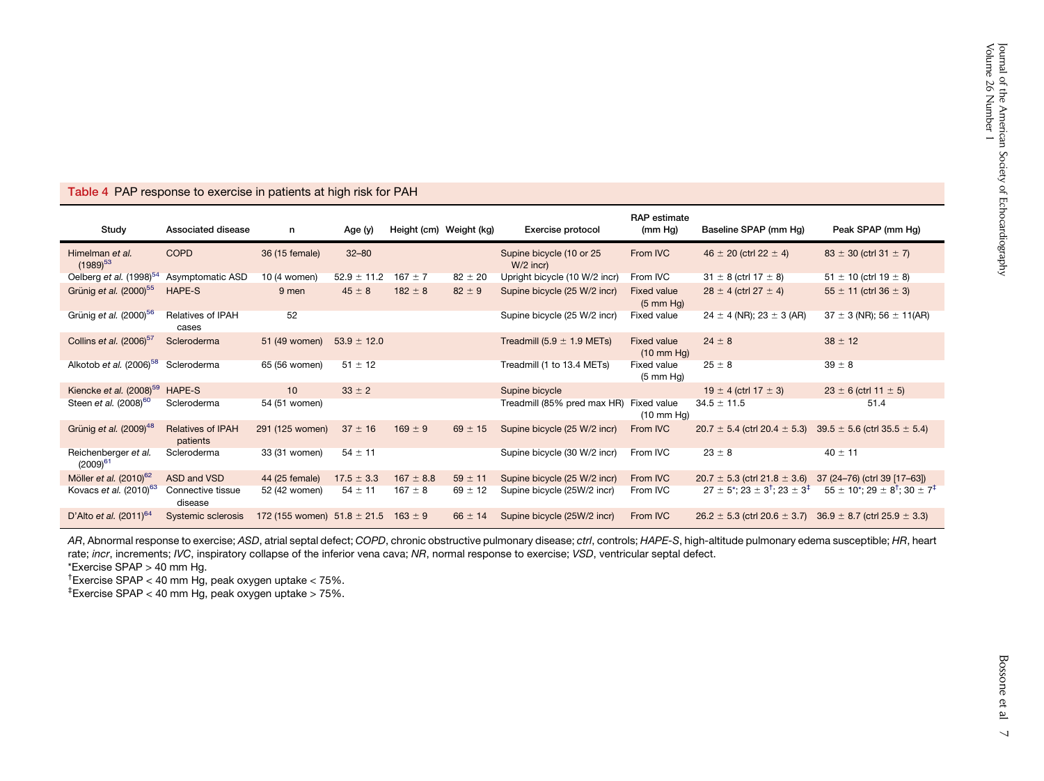<span id="page-6-0"></span>

| Table 4 PAP response to exercise in patients at high risk for PAH |  |
|-------------------------------------------------------------------|--|
|-------------------------------------------------------------------|--|

| Study                                 | Associated disease                   | n                               | Age (y)         | Height (cm) Weight (kg) |             | Exercise protocol                       | <b>RAP</b> estimate<br>(mm Hg)             | Baseline SPAP (mm Hg)                                                       | Peak SPAP (mm Hg)                                                   |
|---------------------------------------|--------------------------------------|---------------------------------|-----------------|-------------------------|-------------|-----------------------------------------|--------------------------------------------|-----------------------------------------------------------------------------|---------------------------------------------------------------------|
| Himelman et al.<br>$(1989)^{53}$      | <b>COPD</b>                          | 36 (15 female)                  | $32 - 80$       |                         |             | Supine bicycle (10 or 25<br>$W/2$ incr) | From IVC                                   | $46 \pm 20$ (ctrl 22 $\pm$ 4)                                               | $83 \pm 30$ (ctrl 31 $\pm$ 7)                                       |
| Oelberg et al. $(1998)^{54}$          | Asymptomatic ASD                     | 10 (4 women)                    | $52.9 \pm 11.2$ | $167 \pm 7$             | $82 \pm 20$ | Upright bicycle (10 W/2 incr)           | From IVC                                   | $31 \pm 8$ (ctrl 17 $\pm$ 8)                                                | $51 \pm 10$ (ctrl 19 $\pm$ 8)                                       |
| Grünig et al. (2000) <sup>55</sup>    | HAPE-S                               | 9 men                           | $45 \pm 8$      | $182 \pm 8$             | $82 \pm 9$  | Supine bicycle (25 W/2 incr)            | <b>Fixed value</b><br>$(5 \text{ mm Hg})$  | $28 \pm 4$ (ctrl 27 $\pm 4$ )                                               | $55 \pm 11$ (ctrl 36 $\pm$ 3)                                       |
| Grünig et al. (2000) <sup>56</sup>    | <b>Relatives of IPAH</b><br>cases    | 52                              |                 |                         |             | Supine bicycle (25 W/2 incr)            | <b>Fixed value</b>                         | $24 \pm 4$ (NR); 23 $\pm$ 3 (AR)                                            | $37 \pm 3$ (NR); 56 $\pm$ 11(AR)                                    |
| Collins et al. $(2006)^{57}$          | Scleroderma                          | 51 (49 women)                   | $53.9 \pm 12.0$ |                         |             | Treadmill $(5.9 \pm 1.9 \text{ METs})$  | <b>Fixed value</b><br>$(10 \text{ mm Hg})$ | $24 \pm 8$                                                                  | $38 \pm 12$                                                         |
| Alkotob et al. (2006) <sup>58</sup>   | Scleroderma                          | 65 (56 women)                   | $51 \pm 12$     |                         |             | Treadmill (1 to 13.4 METs)              | Fixed value<br>$(5 \text{ mm } Hq)$        | $25 \pm 8$                                                                  | $39 \pm 8$                                                          |
| Kiencke et al. $(2008)^{59}$          | HAPE-S                               | 10                              | $33 \pm 2$      |                         |             | Supine bicycle                          |                                            | 19 $\pm$ 4 (ctrl 17 $\pm$ 3)                                                | $23 \pm 6$ (ctrl 11 $\pm 5$ )                                       |
| Steen et al. (2008) <sup>60</sup>     | Scleroderma                          | 54 (51 women)                   |                 |                         |             | Treadmill (85% pred max HR)             | Fixed value<br>$(10 \text{ mm Hg})$        | $34.5 \pm 11.5$                                                             | 51.4                                                                |
| Grünig et al. $(2009)^{48}$           | <b>Relatives of IPAH</b><br>patients | 291 (125 women)                 | $37 \pm 16$     | $169 \pm 9$             | $69 \pm 15$ | Supine bicycle (25 W/2 incr)            | From IVC                                   | $20.7 \pm 5.4$ (ctrl 20.4 $\pm$ 5.3)                                        | $39.5 \pm 5.6$ (ctrl 35.5 $\pm$ 5.4)                                |
| Reichenberger et al.<br>$(2009)^{61}$ | Scleroderma                          | 33 (31 women)                   | $54 \pm 11$     |                         |             | Supine bicycle (30 W/2 incr)            | From IVC                                   | $23 \pm 8$                                                                  | $40 \pm 11$                                                         |
| Möller et al. $(2010)^{62}$           | ASD and VSD                          | 44 (25 female)                  | $17.5 \pm 3.3$  | $167 \pm 8.8$           | $59 \pm 11$ | Supine bicycle (25 W/2 incr)            | From IVC                                   | $20.7 \pm 5.3$ (ctrl 21.8 $\pm$ 3.6)                                        | 37 (24-76) (ctrl 39 [17-63])                                        |
| Kovacs et al. $(2010)^{63}$           | Connective tissue<br>disease         | 52 (42 women)                   | $54 \pm 11$     | $167 \pm 8$             | $69 \pm 12$ | Supine bicycle (25W/2 incr)             | From IVC                                   | $27 \pm 5$ <sup>*</sup> ; $23 \pm 3$ <sup>†</sup> ; $23 \pm 3$ <sup>‡</sup> | $55 \pm 10^{*}$ ; 29 $\pm$ 8 <sup>†</sup> ; 30 $\pm$ 7 <sup>‡</sup> |
| D'Alto et al. $(2011)^{64}$           | Systemic sclerosis                   | 172 (155 women) $51.8 \pm 21.5$ |                 | $163 \pm 9$             | $66 \pm 14$ | Supine bicycle (25W/2 incr)             | From IVC                                   | $26.2 \pm 5.3$ (ctrl 20.6 $\pm$ 3.7)                                        | $36.9 \pm 8.7$ (ctrl 25.9 $\pm$ 3.3)                                |

AR, Abnormal response to exercise; ASD, atrial septal defect; COPD, chronic obstructive pulmonary disease; ctrl, controls; HAPE-S, high-altitude pulmonary edema susceptible; HR, heart rate; *incr*, increments; *IVC*, inspiratory collapse of the inferior vena cava; *NR*, normal response to exercise; *VSD*, ventricular septal defect.

\*Exercise SPAP <sup>&</sup>gt; 40 mm Hg.

†Exercise SPAP <sup>&</sup>lt; <sup>40</sup> mm Hg, peak oxygen uptake <sup>&</sup>lt; 75%.

 $*$ Exercise SPAP < 40 mm Hg, peak oxygen uptake > 75%.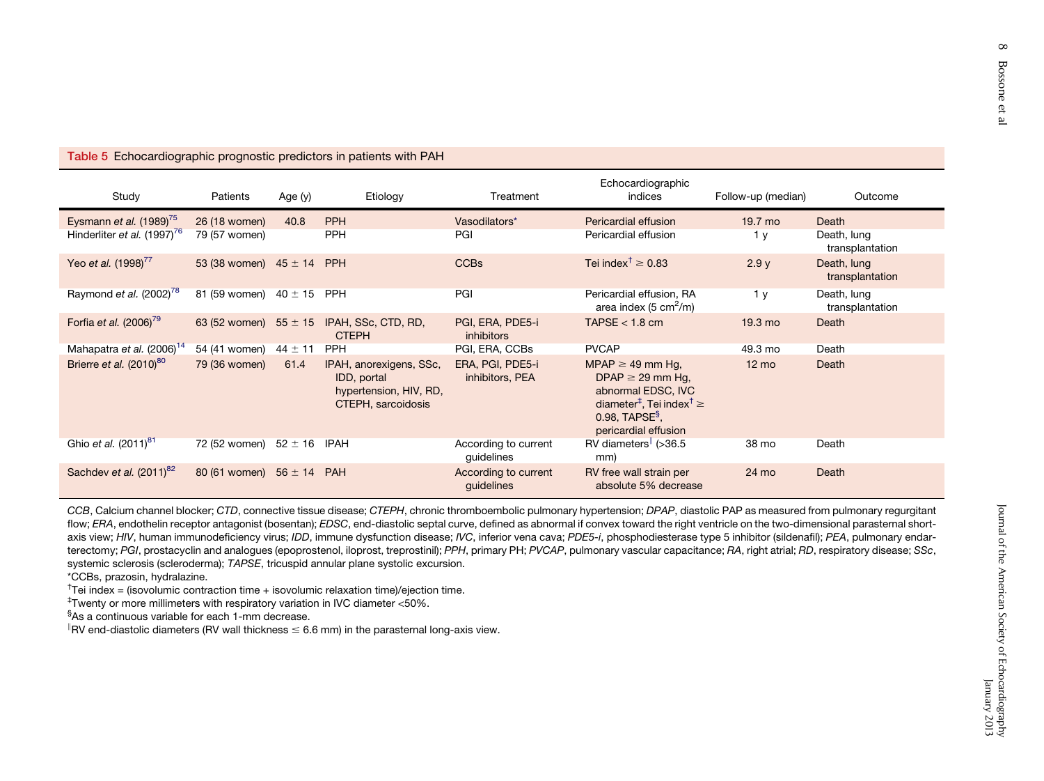### <span id="page-7-0"></span>Table 5 Echocardiographic prognostic predictors in patients with PAH

| Study                                 | Patients                       | Age (y)     | Etiology                                                                               | Treatment                             | Echocardiographic<br>indices                                                                                                                                                           | Follow-up (median) | Outcome                        |
|---------------------------------------|--------------------------------|-------------|----------------------------------------------------------------------------------------|---------------------------------------|----------------------------------------------------------------------------------------------------------------------------------------------------------------------------------------|--------------------|--------------------------------|
| Eysmann et al. $(1989)^{75}$          | 26 (18 women)                  | 40.8        | <b>PPH</b>                                                                             | Vasodilators*                         | Pericardial effusion                                                                                                                                                                   | 19.7 mo            | Death                          |
| Hinderliter et al. $(1997)^{76}$      | 79 (57 women)                  |             | <b>PPH</b>                                                                             | PGI                                   | Pericardial effusion                                                                                                                                                                   | 1 <sub>V</sub>     | Death, lung<br>transplantation |
| Yeo et al. (1998) <sup>77</sup>       | 53 (38 women) $45 \pm 14$      |             | <b>PPH</b>                                                                             | <b>CCBs</b>                           | Tei index <sup><math>\uparrow \geq 0.83</math></sup>                                                                                                                                   | 2.9y               | Death, lung<br>transplantation |
| Raymond et al. $(2002)^{78}$          | 81 (59 women) $40 \pm 15$      |             | <b>PPH</b>                                                                             | PGI                                   | Pericardial effusion, RA<br>area index (5 $\text{cm}^2/\text{m}$ )                                                                                                                     | 1 <sub>y</sub>     | Death, lung<br>transplantation |
| Forfia et al. $(2006)^{79}$           | 63 (52 women) $55 \pm 15$      |             | IPAH, SSc, CTD, RD,<br><b>CTEPH</b>                                                    | PGI, ERA, PDE5-i<br><i>inhibitors</i> | TAPSE $<$ 1.8 cm                                                                                                                                                                       | $19.3 \text{ mo}$  | Death                          |
| Mahapatra et al. (2006) <sup>14</sup> | 54 (41 women)                  | $44 \pm 11$ | <b>PPH</b>                                                                             | PGI, ERA, CCBs                        | <b>PVCAP</b>                                                                                                                                                                           | 49.3 mo            | Death                          |
| Brierre et al. $(2010)^{80}$          | 79 (36 women)                  | 61.4        | IPAH, anorexigens, SSc,<br>IDD, portal<br>hypertension, HIV, RD,<br>CTEPH, sarcoidosis | ERA, PGI, PDE5-i<br>inhibitors, PEA   | MPAP $\geq$ 49 mm Hg,<br>DPAP $\geq$ 29 mm Hg,<br>abnormal EDSC, IVC<br>diameter <sup>‡</sup> , Tei index <sup>†</sup> $\geq$<br>$0.98$ . TAPSE <sup>§</sup> .<br>pericardial effusion | $12 \text{ mo}$    | Death                          |
| Ghio et al. (2011) <sup>81</sup>      | 72 (52 women) $52 \pm 16$ IPAH |             |                                                                                        | According to current<br>guidelines    | RV diameters $\sim$ (>36.5<br>mm)                                                                                                                                                      | 38 mo              | Death                          |
| Sachdev et al. (2011) <sup>82</sup>   | 80 (61 women) $56 \pm 14$      |             | <b>PAH</b>                                                                             | According to current<br>quidelines    | RV free wall strain per<br>absolute 5% decrease                                                                                                                                        | 24 mo              | Death                          |

*CCB*, Calcium channel blocker; *CTD*, connective tissue disease; *CTEPH*, chronic thromboembolic pulmonary hypertension; *DPAP*, diastolic PAP as measured from pulmonary regurgitant flow; *ERA*, endothelin receptor antagonist (bosentan); *EDSC*, end-diastolic septal curve, defined as abnormal if convex toward the right ventricle on the two-dimensional parasternal shortaxis view; *HIV*, human immunodeficiency virus; *IDD*, immune dysfunction disease; *IVC*, inferior vena cava; *PDE5-i*, phosphodiesterase type 5 inhibitor (sildenafil); *PEA*, pulmonary endarterectomy; PGI, prostacyclin and analogues (epoprostenol, iloprost, treprostinil); PPH, primary PH; PVCAP, pulmonary vascular capacitance; RA, right atrial; RD, respiratory disease; SSc, systemic sclerosis (scleroderma); *TAPSE*, tricuspid annular plane systolic excursion.

\*CCBs, prazosin, hydralazine.

<sup>†</sup>Tei index = (isovolumic contraction time + isovolumic relaxation time)/ejection time.

‡Twenty or more millimeters with respiratory variation in IVC diameter <50%.

§As <sup>a</sup> continuous variable for each 1-mm decrease.

 $RV$  end-diastolic diameters (RV wall thickness  $\leq 6.6$  mm) in the parasternal long-axis view.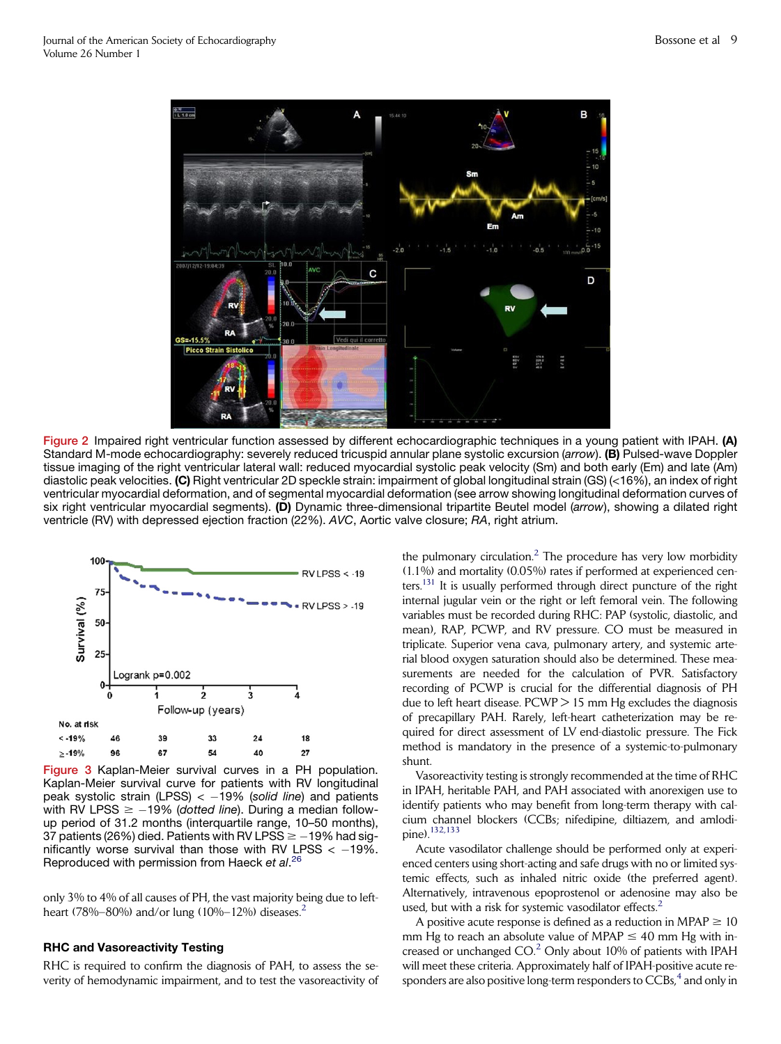<span id="page-8-0"></span>

Figure 2 Impaired right ventricular function assessed by different echocardiographic techniques in a young patient with IPAH. (A) Standard M-mode echocardiography: severely reduced tricuspid annular plane systolic excursion (*arrow*). (B) Pulsed-wave Doppler tissue imaging of the right ventricular lateral wall: reduced myocardial systolic peak velocity (Sm) and both early (Em) and late (Am) diastolic peak velocities. (C) Right ventricular 2D speckle strain: impairment of global longitudinal strain (GS) (<16%), an index of right ventricular myocardial deformation, and of segmental myocardial deformation (see arrow showing longitudinal deformation curves of six right ventricular myocardial segments). (D) Dynamic three-dimensional tripartite Beutel model (*arrow*), showing a dilated right ventricle (RV) with depressed ejection fraction (22%). *AVC*, Aortic valve closure; *RA*, right atrium.



Figure 3 Kaplan-Meier survival curves in a PH population. Kaplan-Meier survival curve for patients with RV longitudinal peak systolic strain (LPSS) < 19% (*solid line*) and patients with RV LPSS  $\ge -19\%$  (*dotted line*). During a median followup period of 31.2 months (interquartile range, 10–50 months), 37 patients (26%) died. Patients with RV LPSS  $\ge$  -19% had significantly worse survival than those with RV LPSS  $< -19\%$ . Reproduced with permission from Haeck *et al*. [26](#page-10-0)

only 3% to 4% of all causes of PH, the vast majority being due to left-heart (78%–80%) and/or lung (10%–1[2](#page-10-0)%) diseases.<sup>2</sup>

#### RHC and Vasoreactivity Testing

RHC is required to confirm the diagnosis of PAH, to assess the severity of hemodynamic impairment, and to test the vasoreactivity of

the pulmonary circulation. $<sup>2</sup>$  $<sup>2</sup>$  $<sup>2</sup>$  The procedure has very low morbidity</sup> (1.1%) and mortality (0.05%) rates if performed at experienced centers.<sup>131</sup> It is usually performed through direct puncture of the right internal jugular vein or the right or left femoral vein. The following variables must be recorded during RHC: PAP (systolic, diastolic, and mean), RAP, PCWP, and RV pressure. CO must be measured in triplicate. Superior vena cava, pulmonary artery, and systemic arterial blood oxygen saturation should also be determined. These measurements are needed for the calculation of PVR. Satisfactory recording of PCWP is crucial for the differential diagnosis of PH due to left heart disease. PCWP > 15 mm Hg excludes the diagnosis of precapillary PAH. Rarely, left-heart catheterization may be required for direct assessment of LV end-diastolic pressure. The Fick method is mandatory in the presence of a systemic-to-pulmonary shunt.

Vasoreactivity testing is strongly recommended at the time of RHC in IPAH, heritable PAH, and PAH associated with anorexigen use to identify patients who may benefit from long-term therapy with calcium channel blockers (CCBs; nifedipine, diltiazem, and amlodipine)[.132,133](#page-13-0)

Acute vasodilator challenge should be performed only at experienced centers using short-acting and safe drugs with no or limited systemic effects, such as inhaled nitric oxide (the preferred agent). Alternatively, intravenous epoprostenol or adenosine may also be used, but with a risk for systemic vasodilator effects. $2$ 

A positive acute response is defined as a reduction in MPAP  $\geq 10$ mm Hg to reach an absolute value of MPAP  $\leq$  40 mm Hg with increased or unchanged  $CO<sup>2</sup>$  $CO<sup>2</sup>$  $CO<sup>2</sup>$  Only about 10% of patients with IPAH will meet these criteria. Approximately half of IPAH-positive acute responders are also positive long-term responders to  $CCBs$ ,  $4$  and only in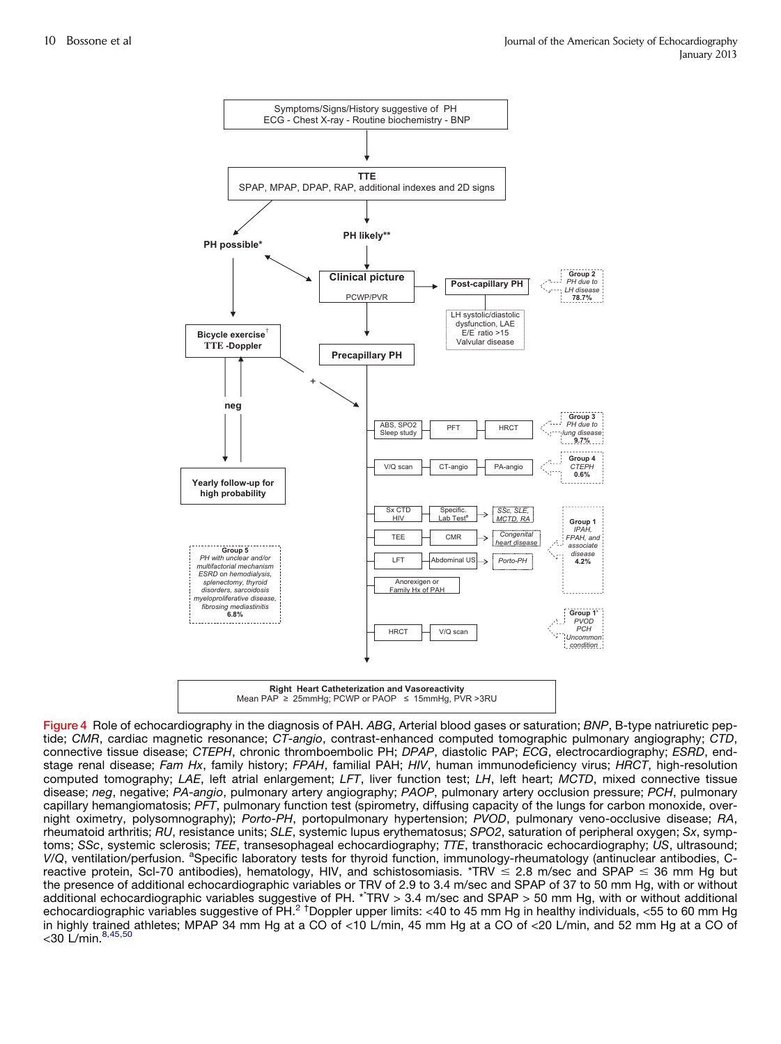<span id="page-9-0"></span>

Figure 4 Role of echocardiography in the diagnosis of PAH. *ABG*, Arterial blood gases or saturation; *BNP*, B-type natriuretic peptide; *CMR*, cardiac magnetic resonance; *CT-angio*, contrast-enhanced computed tomographic pulmonary angiography; *CTD*, connective tissue disease; *CTEPH*, chronic thromboembolic PH; *DPAP*, diastolic PAP; *ECG*, electrocardiography; *ESRD*, endstage renal disease; *Fam Hx*, family history; *FPAH*, familial PAH; *HIV*, human immunodeficiency virus; *HRCT*, high-resolution computed tomography; *LAE*, left atrial enlargement; *LFT*, liver function test; *LH*, left heart; *MCTD*, mixed connective tissue disease; *neg*, negative; *PA-angio*, pulmonary artery angiography; *PAOP*, pulmonary artery occlusion pressure; *PCH*, pulmonary capillary hemangiomatosis; *PFT*, pulmonary function test (spirometry, diffusing capacity of the lungs for carbon monoxide, overnight oximetry, polysomnography); *Porto-PH*, portopulmonary hypertension; *PVOD*, pulmonary veno-occlusive disease; *RA*, rheumatoid arthritis; *RU*, resistance units; *SLE*, systemic lupus erythematosus; *SPO2*, saturation of peripheral oxygen; *Sx*, symptoms; *SSc*, systemic sclerosis; *TEE*, transesophageal echocardiography; *TTE*, transthoracic echocardiography; *US*, ultrasound; V/Q, ventilation/perfusion. <sup>a</sup>Specific laboratory tests for thyroid function, immunology-rheumatology (antinuclear antibodies, Creactive protein, Scl-70 antibodies), hematology, HIV, and schistosomiasis. \*TRV  $\leq$  2.8 m/sec and SPAP  $\leq$  36 mm Hg but the presence of additional echocardiographic variables or TRV of 2.9 to 3.4 m/sec and SPAP of 37 to 50 mm Hg, with or without additional echocardiographic variables suggestive of PH. \*\* TRV > 3.4 m/sec and SPAP > 50 mm Hg, with or without additional echocardiographic variables suggestive of PH.<sup>[2](#page-10-0)</sup> <sup>†</sup>Doppler upper limits: <40 to 45 mm Hg in healthy individuals, <55 to 60 mm Hg in highly trained athletes; MPAP 34 mm Hg at a CO of <10 L/min, 45 mm Hg at a CO of <20 L/min, and 52 mm Hg at a CO of  $<$ 30 L/min.  $8,45,50$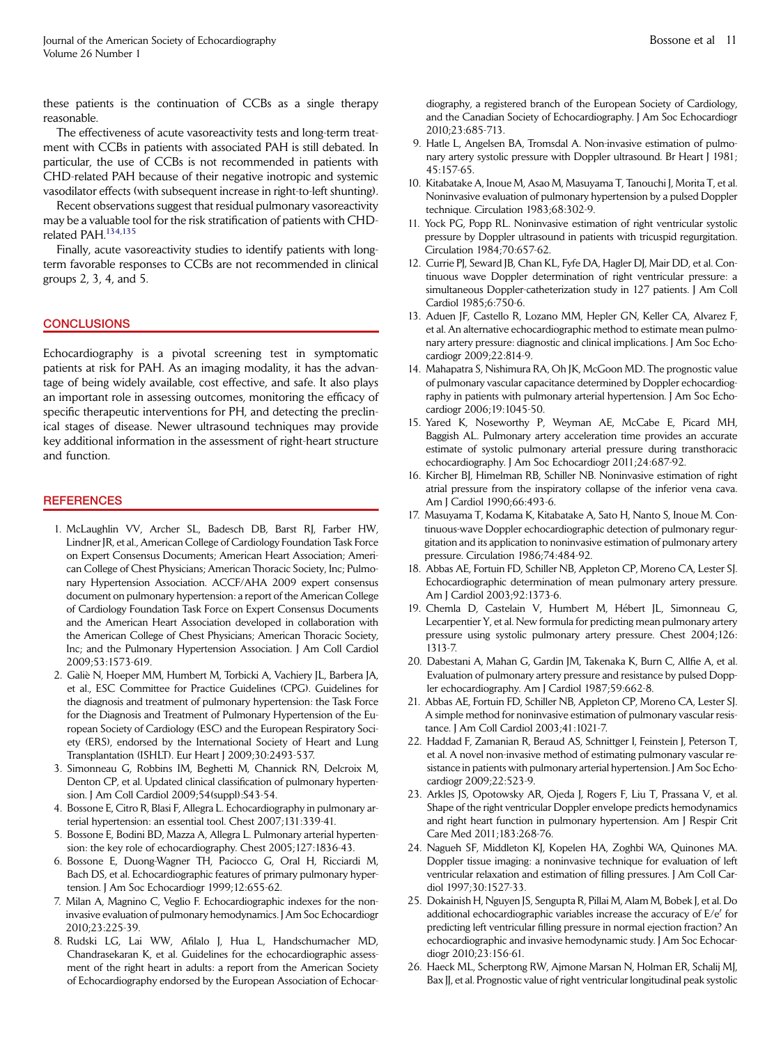<span id="page-10-0"></span>these patients is the continuation of CCBs as a single therapy reasonable.

The effectiveness of acute vasoreactivity tests and long-term treatment with CCBs in patients with associated PAH is still debated. In particular, the use of CCBs is not recommended in patients with CHD-related PAH because of their negative inotropic and systemic vasodilator effects (with subsequent increase in right-to-left shunting).

Recent observations suggest that residual pulmonary vasoreactivity may be a valuable tool for the risk stratification of patients with CHDrelated PAH.<sup>134,135</sup>

Finally, acute vasoreactivity studies to identify patients with longterm favorable responses to CCBs are not recommended in clinical groups 2, 3, 4, and 5.

#### **CONCLUSIONS**

Echocardiography is a pivotal screening test in symptomatic patients at risk for PAH. As an imaging modality, it has the advantage of being widely available, cost effective, and safe. It also plays an important role in assessing outcomes, monitoring the efficacy of specific therapeutic interventions for PH, and detecting the preclinical stages of disease. Newer ultrasound techniques may provide key additional information in the assessment of right-heart structure and function.

#### **REFERENCES**

- 1. McLaughlin VV, Archer SL, Badesch DB, Barst RJ, Farber HW, Lindner JR, et al., American College of Cardiology Foundation Task Force on Expert Consensus Documents; American Heart Association; American College of Chest Physicians; American Thoracic Society, Inc; Pulmonary Hypertension Association. ACCF/AHA 2009 expert consensus document on pulmonary hypertension: a report of the American College of Cardiology Foundation Task Force on Expert Consensus Documents and the American Heart Association developed in collaboration with the American College of Chest Physicians; American Thoracic Society, Inc; and the Pulmonary Hypertension Association. J Am Coll Cardiol 2009;53:1573-619.
- 2. Galie N, Hoeper MM, Humbert M, Torbicki A, Vachiery JL, Barbera JA, et al., ESC Committee for Practice Guidelines (CPG). Guidelines for the diagnosis and treatment of pulmonary hypertension: the Task Force for the Diagnosis and Treatment of Pulmonary Hypertension of the European Society of Cardiology (ESC) and the European Respiratory Society (ERS), endorsed by the International Society of Heart and Lung Transplantation (ISHLT). Eur Heart J 2009;30:2493-537.
- 3. Simonneau G, Robbins IM, Beghetti M, Channick RN, Delcroix M, Denton CP, et al. Updated clinical classification of pulmonary hypertension. J Am Coll Cardiol 2009;54(suppl):S43-54.
- 4. Bossone E, Citro R, Blasi F, Allegra L. Echocardiography in pulmonary arterial hypertension: an essential tool. Chest 2007;131:339-41.
- 5. Bossone E, Bodini BD, Mazza A, Allegra L. Pulmonary arterial hypertension: the key role of echocardiography. Chest 2005;127:1836-43.
- 6. Bossone E, Duong-Wagner TH, Paciocco G, Oral H, Ricciardi M, Bach DS, et al. Echocardiographic features of primary pulmonary hypertension. J Am Soc Echocardiogr 1999;12:655-62.
- 7. Milan A, Magnino C, Veglio F. Echocardiographic indexes for the noninvasive evaluation of pulmonary hemodynamics. J Am Soc Echocardiogr 2010;23:225-39.
- 8. Rudski LG, Lai WW, Afilalo J, Hua L, Handschumacher MD, Chandrasekaran K, et al. Guidelines for the echocardiographic assessment of the right heart in adults: a report from the American Society of Echocardiography endorsed by the European Association of Echocar-

diography, a registered branch of the European Society of Cardiology, and the Canadian Society of Echocardiography. J Am Soc Echocardiogr 2010;23:685-713.

- 9. Hatle L, Angelsen BA, Tromsdal A. Non-invasive estimation of pulmonary artery systolic pressure with Doppler ultrasound. Br Heart J 1981; 45:157-65.
- 10. Kitabatake A, Inoue M, Asao M, Masuyama T, Tanouchi J, Morita T, et al. Noninvasive evaluation of pulmonary hypertension by a pulsed Doppler technique. Circulation 1983;68:302-9.
- 11. Yock PG, Popp RL. Noninvasive estimation of right ventricular systolic pressure by Doppler ultrasound in patients with tricuspid regurgitation. Circulation 1984;70:657-62.
- 12. Currie PJ, Seward JB, Chan KL, Fyfe DA, Hagler DJ, Mair DD, et al. Continuous wave Doppler determination of right ventricular pressure: a simultaneous Doppler-catheterization study in 127 patients. J Am Coll Cardiol 1985;6:750-6.
- 13. Aduen JF, Castello R, Lozano MM, Hepler GN, Keller CA, Alvarez F, et al. An alternative echocardiographic method to estimate mean pulmonary artery pressure: diagnostic and clinical implications. J Am Soc Echocardiogr 2009;22:814-9.
- 14. Mahapatra S, Nishimura RA, Oh JK, McGoon MD. The prognostic value of pulmonary vascular capacitance determined by Doppler echocardiography in patients with pulmonary arterial hypertension. J Am Soc Echocardiogr 2006;19:1045-50.
- 15. Yared K, Noseworthy P, Weyman AE, McCabe E, Picard MH, Baggish AL. Pulmonary artery acceleration time provides an accurate estimate of systolic pulmonary arterial pressure during transthoracic echocardiography. J Am Soc Echocardiogr 2011;24:687-92.
- 16. Kircher BJ, Himelman RB, Schiller NB. Noninvasive estimation of right atrial pressure from the inspiratory collapse of the inferior vena cava. Am J Cardiol 1990;66:493-6.
- 17. Masuyama T, Kodama K, Kitabatake A, Sato H, Nanto S, Inoue M. Continuous-wave Doppler echocardiographic detection of pulmonary regurgitation and its application to noninvasive estimation of pulmonary artery pressure. Circulation 1986;74:484-92.
- 18. Abbas AE, Fortuin FD, Schiller NB, Appleton CP, Moreno CA, Lester SJ. Echocardiographic determination of mean pulmonary artery pressure. Am J Cardiol 2003;92:1373-6.
- 19. Chemla D, Castelain V, Humbert M, Hebert JL, Simonneau G, Lecarpentier Y, et al. New formula for predicting mean pulmonary artery pressure using systolic pulmonary artery pressure. Chest 2004;126: 1313-7.
- 20. Dabestani A, Mahan G, Gardin JM, Takenaka K, Burn C, Allfie A, et al. Evaluation of pulmonary artery pressure and resistance by pulsed Doppler echocardiography. Am J Cardiol 1987;59:662-8.
- 21. Abbas AE, Fortuin FD, Schiller NB, Appleton CP, Moreno CA, Lester SJ. A simple method for noninvasive estimation of pulmonary vascular resistance. J Am Coll Cardiol 2003;41:1021-7.
- 22. Haddad F, Zamanian R, Beraud AS, Schnittger I, Feinstein J, Peterson T, et al. A novel non-invasive method of estimating pulmonary vascular resistance in patients with pulmonary arterial hypertension. J Am Soc Echocardiogr 2009;22:523-9.
- 23. Arkles JS, Opotowsky AR, Ojeda J, Rogers F, Liu T, Prassana V, et al. Shape of the right ventricular Doppler envelope predicts hemodynamics and right heart function in pulmonary hypertension. Am J Respir Crit Care Med 2011;183:268-76.
- 24. Nagueh SF, Middleton KJ, Kopelen HA, Zoghbi WA, Quinones MA. Doppler tissue imaging: a noninvasive technique for evaluation of left ventricular relaxation and estimation of filling pressures. J Am Coll Cardiol 1997;30:1527-33.
- 25. Dokainish H, Nguyen JS, Sengupta R, Pillai M, Alam M, Bobek J, et al. Do additional echocardiographic variables increase the accuracy of  $E/e'$  for predicting left ventricular filling pressure in normal ejection fraction? An echocardiographic and invasive hemodynamic study. J Am Soc Echocardiogr 2010;23:156-61.
- 26. Haeck ML, Scherptong RW, Ajmone Marsan N, Holman ER, Schalij MJ, Bax JJ, et al. Prognostic value of right ventricular longitudinal peak systolic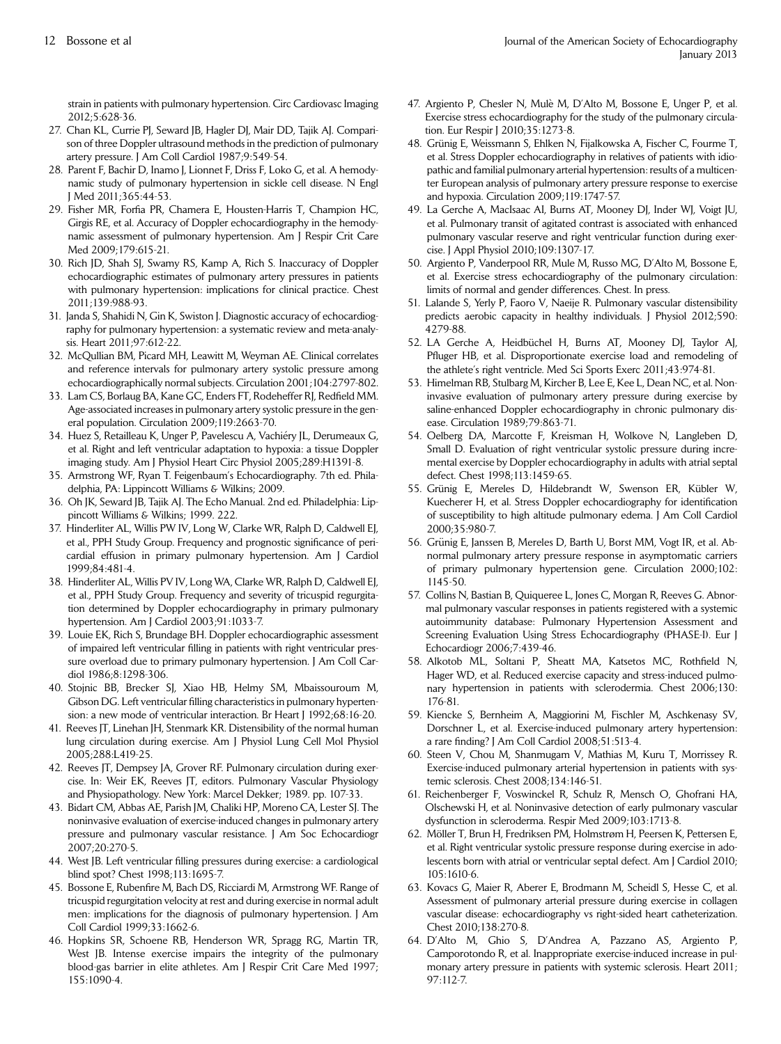<span id="page-11-0"></span>strain in patients with pulmonary hypertension. Circ Cardiovasc Imaging 2012;5:628-36.

- 27. Chan KL, Currie PJ, Seward JB, Hagler DJ, Mair DD, Tajik AJ. Comparison of three Doppler ultrasound methods in the prediction of pulmonary artery pressure. J Am Coll Cardiol 1987;9:549-54.
- 28. Parent F, Bachir D, Inamo J, Lionnet F, Driss F, Loko G, et al. A hemodynamic study of pulmonary hypertension in sickle cell disease. N Engl J Med 2011;365:44-53.
- 29. Fisher MR, Forfia PR, Chamera E, Housten-Harris T, Champion HC, Girgis RE, et al. Accuracy of Doppler echocardiography in the hemodynamic assessment of pulmonary hypertension. Am J Respir Crit Care Med 2009;179:615-21.
- 30. Rich JD, Shah SJ, Swamy RS, Kamp A, Rich S. Inaccuracy of Doppler echocardiographic estimates of pulmonary artery pressures in patients with pulmonary hypertension: implications for clinical practice. Chest 2011;139:988-93.
- 31. Janda S, Shahidi N, Gin K, Swiston J. Diagnostic accuracy of echocardiography for pulmonary hypertension: a systematic review and meta-analysis. Heart 2011;97:612-22.
- 32. McQullian BM, Picard MH, Leawitt M, Weyman AE. Clinical correlates and reference intervals for pulmonary artery systolic pressure among echocardiographically normal subjects. Circulation 2001;104:2797-802.
- 33. Lam CS, Borlaug BA, Kane GC, Enders FT, Rodeheffer RJ, Redfield MM. Age-associated increases in pulmonary artery systolic pressure in the general population. Circulation 2009;119:2663-70.
- 34. Huez S, Retailleau K, Unger P, Pavelescu A, Vachiery JL, Derumeaux G, et al. Right and left ventricular adaptation to hypoxia: a tissue Doppler imaging study. Am J Physiol Heart Circ Physiol 2005;289:H1391-8.
- 35. Armstrong WF, Ryan T. Feigenbaum's Echocardiography. 7th ed. Philadelphia, PA: Lippincott Williams & Wilkins; 2009.
- 36. Oh JK, Seward JB, Tajik AJ. The Echo Manual. 2nd ed. Philadelphia: Lippincott Williams & Wilkins; 1999. 222.
- 37. Hinderliter AL, Willis PW IV, Long W, Clarke WR, Ralph D, Caldwell EJ, et al., PPH Study Group. Frequency and prognostic significance of pericardial effusion in primary pulmonary hypertension. Am J Cardiol 1999;84:481-4.
- 38. Hinderliter AL, Willis PV IV, Long WA, Clarke WR, Ralph D, Caldwell EJ, et al., PPH Study Group. Frequency and severity of tricuspid regurgitation determined by Doppler echocardiography in primary pulmonary hypertension. Am J Cardiol 2003;91:1033-7.
- 39. Louie EK, Rich S, Brundage BH. Doppler echocardiographic assessment of impaired left ventricular filling in patients with right ventricular pressure overload due to primary pulmonary hypertension. J Am Coll Cardiol 1986;8:1298-306.
- 40. Stojnic BB, Brecker SJ, Xiao HB, Helmy SM, Mbaissouroum M, Gibson DG. Left ventricular filling characteristics in pulmonary hypertension: a new mode of ventricular interaction. Br Heart J 1992;68:16-20.
- 41. Reeves JT, Linehan JH, Stenmark KR. Distensibility of the normal human lung circulation during exercise. Am J Physiol Lung Cell Mol Physiol 2005;288:L419-25.
- 42. Reeves JT, Dempsey JA, Grover RF. Pulmonary circulation during exercise. In: Weir EK, Reeves JT, editors. Pulmonary Vascular Physiology and Physiopathology. New York: Marcel Dekker; 1989. pp. 107-33.
- 43. Bidart CM, Abbas AE, Parish JM, Chaliki HP, Moreno CA, Lester SJ. The noninvasive evaluation of exercise-induced changes in pulmonary artery pressure and pulmonary vascular resistance. J Am Soc Echocardiogr 2007;20:270-5.
- 44. West JB. Left ventricular filling pressures during exercise: a cardiological blind spot? Chest 1998;113:1695-7.
- 45. Bossone E, Rubenfire M, Bach DS, Ricciardi M, Armstrong WF. Range of tricuspid regurgitation velocity at rest and during exercise in normal adult men: implications for the diagnosis of pulmonary hypertension. J Am Coll Cardiol 1999;33:1662-6.
- 46. Hopkins SR, Schoene RB, Henderson WR, Spragg RG, Martin TR, West JB. Intense exercise impairs the integrity of the pulmonary blood-gas barrier in elite athletes. Am J Respir Crit Care Med 1997; 155:1090-4.
- 47. Argiento P, Chesler N, Mule M, D'Alto M, Bossone E, Unger P, et al. Exercise stress echocardiography for the study of the pulmonary circulation. Eur Respir J 2010;35:1273-8.
- 48. Grünig E, Weissmann S, Ehlken N, Fijalkowska A, Fischer C, Fourme T, et al. Stress Doppler echocardiography in relatives of patients with idiopathic and familial pulmonary arterial hypertension: results of a multicenter European analysis of pulmonary artery pressure response to exercise and hypoxia. Circulation 2009;119:1747-57.
- 49. La Gerche A, MacIsaac AI, Burns AT, Mooney DJ, Inder WJ, Voigt JU, et al. Pulmonary transit of agitated contrast is associated with enhanced pulmonary vascular reserve and right ventricular function during exercise. J Appl Physiol 2010;109:1307-17.
- 50. Argiento P, Vanderpool RR, Mule M, Russo MG, D'Alto M, Bossone E, et al. Exercise stress echocardiography of the pulmonary circulation: limits of normal and gender differences. Chest. In press.
- 51. Lalande S, Yerly P, Faoro V, Naeije R. Pulmonary vascular distensibility predicts aerobic capacity in healthy individuals. J Physiol 2012;590: 4279-88.
- 52. LA Gerche A, Heidbüchel H, Burns AT, Mooney DJ, Taylor AJ, Pfluger HB, et al. Disproportionate exercise load and remodeling of the athlete's right ventricle. Med Sci Sports Exerc 2011;43:974-81.
- 53. Himelman RB, Stulbarg M, Kircher B, Lee E, Kee L, Dean NC, et al. Noninvasive evaluation of pulmonary artery pressure during exercise by saline-enhanced Doppler echocardiography in chronic pulmonary disease. Circulation 1989;79:863-71.
- 54. Oelberg DA, Marcotte F, Kreisman H, Wolkove N, Langleben D, Small D. Evaluation of right ventricular systolic pressure during incremental exercise by Doppler echocardiography in adults with atrial septal defect. Chest 1998;113:1459-65.
- 55. Grünig E, Mereles D, Hildebrandt W, Swenson ER, Kübler W, Kuecherer H, et al. Stress Doppler echocardiography for identification of susceptibility to high altitude pulmonary edema. J Am Coll Cardiol 2000;35:980-7.
- 56. Grünig E, Janssen B, Mereles D, Barth U, Borst MM, Vogt IR, et al. Abnormal pulmonary artery pressure response in asymptomatic carriers of primary pulmonary hypertension gene. Circulation 2000;102: 1145-50.
- 57. Collins N, Bastian B, Quiqueree L, Jones C, Morgan R, Reeves G. Abnormal pulmonary vascular responses in patients registered with a systemic autoimmunity database: Pulmonary Hypertension Assessment and Screening Evaluation Using Stress Echocardiography (PHASE-I). Eur J Echocardiogr 2006;7:439-46.
- 58. Alkotob ML, Soltani P, Sheatt MA, Katsetos MC, Rothfield N, Hager WD, et al. Reduced exercise capacity and stress-induced pulmonary hypertension in patients with sclerodermia. Chest 2006;130: 176-81.
- 59. Kiencke S, Bernheim A, Maggiorini M, Fischler M, Aschkenasy SV, Dorschner L, et al. Exercise-induced pulmonary artery hypertension: a rare finding? J Am Coll Cardiol 2008;51:513-4.
- 60. Steen V, Chou M, Shanmugam V, Mathias M, Kuru T, Morrissey R. Exercise-induced pulmonary arterial hypertension in patients with systemic sclerosis. Chest 2008;134:146-51.
- 61. Reichenberger F, Voswinckel R, Schulz R, Mensch O, Ghofrani HA, Olschewski H, et al. Noninvasive detection of early pulmonary vascular dysfunction in scleroderma. Respir Med 2009;103:1713-8.
- 62. Möller T, Brun H, Fredriksen PM, Holmstrøm H, Peersen K, Pettersen E, et al. Right ventricular systolic pressure response during exercise in adolescents born with atrial or ventricular septal defect. Am J Cardiol 2010; 105:1610-6.
- 63. Kovacs G, Maier R, Aberer E, Brodmann M, Scheidl S, Hesse C, et al. Assessment of pulmonary arterial pressure during exercise in collagen vascular disease: echocardiography vs right-sided heart catheterization. Chest 2010;138:270-8.
- 64. D'Alto M, Ghio S, D'Andrea A, Pazzano AS, Argiento P, Camporotondo R, et al. Inappropriate exercise-induced increase in pulmonary artery pressure in patients with systemic sclerosis. Heart 2011; 97:112-7.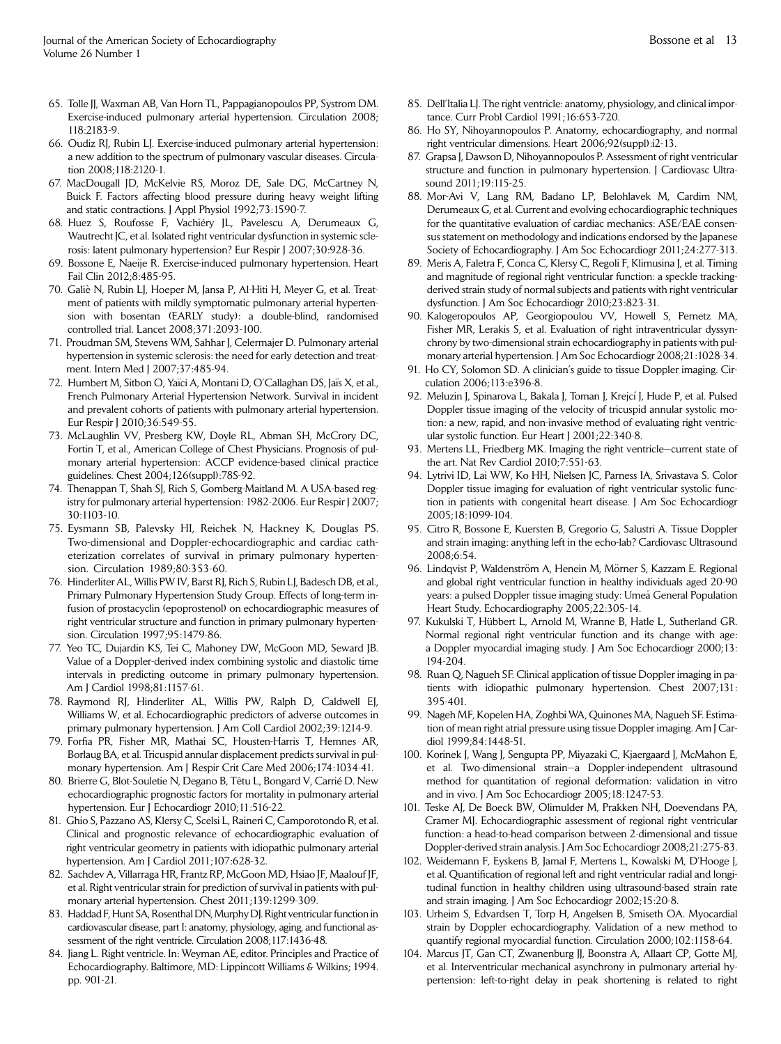- <span id="page-12-0"></span>65. Tolle JJ, Waxman AB, Van Horn TL, Pappagianopoulos PP, Systrom DM. Exercise-induced pulmonary arterial hypertension. Circulation 2008; 118:2183-9.
- 66. Oudiz RJ, Rubin LJ. Exercise-induced pulmonary arterial hypertension: a new addition to the spectrum of pulmonary vascular diseases. Circulation 2008;118:2120-1.
- 67. MacDougall JD, McKelvie RS, Moroz DE, Sale DG, McCartney N, Buick F. Factors affecting blood pressure during heavy weight lifting and static contractions. J Appl Physiol 1992;73:1590-7.
- 68. Huez S, Roufosse F, Vachiery JL, Pavelescu A, Derumeaux G, Wautrecht JC, et al. Isolated right ventricular dysfunction in systemic sclerosis: latent pulmonary hypertension? Eur Respir J 2007;30:928-36.
- 69. Bossone E, Naeije R. Exercise-induced pulmonary hypertension. Heart Fail Clin 2012;8:485-95.
- 70. Galie N, Rubin LJ, Hoeper M, Jansa P, Al-Hiti H, Meyer G, et al. Treatment of patients with mildly symptomatic pulmonary arterial hypertension with bosentan (EARLY study): a double-blind, randomised controlled trial. Lancet 2008;371:2093-100.
- 71. Proudman SM, Stevens WM, Sahhar J, Celermajer D. Pulmonary arterial hypertension in systemic sclerosis: the need for early detection and treatment. Intern Med J 2007;37:485-94.
- 72. Humbert M, Sitbon O, Yaïci A, Montani D, O'Callaghan DS, Jaïs X, et al., French Pulmonary Arterial Hypertension Network. Survival in incident and prevalent cohorts of patients with pulmonary arterial hypertension. Eur Respir J 2010;36:549-55.
- 73. McLaughlin VV, Presberg KW, Doyle RL, Abman SH, McCrory DC, Fortin T, et al., American College of Chest Physicians. Prognosis of pulmonary arterial hypertension: ACCP evidence-based clinical practice guidelines. Chest 2004;126(suppl):78S-92.
- 74. Thenappan T, Shah SJ, Rich S, Gomberg-Maitland M. A USA-based registry for pulmonary arterial hypertension: 1982-2006. Eur Respir J 2007; 30:1103-10.
- 75. Eysmann SB, Palevsky HI, Reichek N, Hackney K, Douglas PS. Two-dimensional and Doppler-echocardiographic and cardiac catheterization correlates of survival in primary pulmonary hypertension. Circulation 1989;80:353-60.
- 76. Hinderliter AL, Willis PW IV, Barst RJ, Rich S, Rubin LJ, Badesch DB, et al., Primary Pulmonary Hypertension Study Group. Effects of long-term infusion of prostacyclin (epoprostenol) on echocardiographic measures of right ventricular structure and function in primary pulmonary hypertension. Circulation 1997;95:1479-86.
- 77. Yeo TC, Dujardin KS, Tei C, Mahoney DW, McGoon MD, Seward JB. Value of a Doppler-derived index combining systolic and diastolic time intervals in predicting outcome in primary pulmonary hypertension. Am J Cardiol 1998;81:1157-61.
- 78. Raymond RJ, Hinderliter AL, Willis PW, Ralph D, Caldwell EJ, Williams W, et al. Echocardiographic predictors of adverse outcomes in primary pulmonary hypertension. J Am Coll Cardiol 2002;39:1214-9.
- 79. Forfia PR, Fisher MR, Mathai SC, Housten-Harris T, Hemnes AR, Borlaug BA, et al. Tricuspid annular displacement predicts survival in pulmonary hypertension. Am J Respir Crit Care Med 2006;174:1034-41.
- 80. Brierre G, Blot-Souletie N, Degano B, T^etu L, Bongard V, Carrie D. New echocardiographic prognostic factors for mortality in pulmonary arterial hypertension. Eur J Echocardiogr 2010;11:516-22.
- 81. Ghio S, Pazzano AS, Klersy C, Scelsi L, Raineri C, Camporotondo R, et al. Clinical and prognostic relevance of echocardiographic evaluation of right ventricular geometry in patients with idiopathic pulmonary arterial hypertension. Am J Cardiol 2011;107:628-32.
- 82. Sachdev A, Villarraga HR, Frantz RP, McGoon MD, Hsiao JF, Maalouf JF, et al. Right ventricular strain for prediction of survival in patients with pulmonary arterial hypertension. Chest 2011;139:1299-309.
- 83. Haddad F, Hunt SA, Rosenthal DN,Murphy DJ. Right ventricular function in cardiovascular disease, part I: anatomy, physiology, aging, and functional assessment of the right ventricle. Circulation 2008;117:1436-48.
- 84. Jiang L. Right ventricle. In: Weyman AE, editor. Principles and Practice of Echocardiography. Baltimore, MD: Lippincott Williams & Wilkins; 1994. pp. 901-21.
- 85. Dell'Italia LJ. The right ventricle: anatomy, physiology, and clinical importance. Curr Probl Cardiol 1991;16:653-720.
- 86. Ho SY, Nihoyannopoulos P. Anatomy, echocardiography, and normal right ventricular dimensions. Heart 2006;92(suppl):i2-13.
- 87. Grapsa J, Dawson D, Nihoyannopoulos P. Assessment of right ventricular structure and function in pulmonary hypertension. J Cardiovasc Ultrasound 2011;19:115-25.
- 88. Mor-Avi V, Lang RM, Badano LP, Belohlavek M, Cardim NM, Derumeaux G, et al. Current and evolving echocardiographic techniques for the quantitative evaluation of cardiac mechanics: ASE/EAE consensus statement on methodology and indications endorsed by the Japanese Society of Echocardiography. J Am Soc Echocardiogr 2011;24:277-313.
- 89. Meris A, Faletra F, Conca C, Klersy C, Regoli F, Klimusina J, et al. Timing and magnitude of regional right ventricular function: a speckle trackingderived strain study of normal subjects and patients with right ventricular dysfunction. J Am Soc Echocardiogr 2010;23:823-31.
- 90. Kalogeropoulos AP, Georgiopoulou VV, Howell S, Pernetz MA, Fisher MR, Lerakis S, et al. Evaluation of right intraventricular dyssynchrony by two-dimensional strain echocardiography in patients with pulmonary arterial hypertension. J Am Soc Echocardiogr 2008;21:1028-34.
- 91. Ho CY, Solomon SD. A clinician's guide to tissue Doppler imaging. Circulation 2006;113:e396-8.
- 92. Meluzin J, Spinarova L, Bakala J, Toman J, Krejcí J, Hude P, et al. Pulsed Doppler tissue imaging of the velocity of tricuspid annular systolic motion: a new, rapid, and non-invasive method of evaluating right ventricular systolic function. Eur Heart J 2001;22:340-8.
- 93. Mertens LL, Friedberg MK. Imaging the right ventricle—current state of the art. Nat Rev Cardiol 2010;7:551-63.
- 94. Lytrivi ID, Lai WW, Ko HH, Nielsen JC, Parness IA, Srivastava S. Color Doppler tissue imaging for evaluation of right ventricular systolic function in patients with congenital heart disease. J Am Soc Echocardiogr 2005;18:1099-104.
- 95. Citro R, Bossone E, Kuersten B, Gregorio G, Salustri A. Tissue Doppler and strain imaging: anything left in the echo-lab? Cardiovasc Ultrasound 2008;6:54.
- 96. Lindqvist P, Waldenström A, Henein M, Mörner S, Kazzam E. Regional and global right ventricular function in healthy individuals aged 20-90 years: a pulsed Doppler tissue imaging study: Umea General Population Heart Study. Echocardiography 2005;22:305-14.
- 97. Kukulski T, Hübbert L, Arnold M, Wranne B, Hatle L, Sutherland GR. Normal regional right ventricular function and its change with age: a Doppler myocardial imaging study. J Am Soc Echocardiogr 2000;13: 194-204.
- 98. Ruan Q, Nagueh SF. Clinical application of tissue Doppler imaging in patients with idiopathic pulmonary hypertension. Chest 2007;131: 395-401.
- 99. Nageh MF, Kopelen HA, Zoghbi WA, Quinones MA, Nagueh SF. Estimation of mean right atrial pressure using tissue Doppler imaging. Am J Cardiol 1999;84:1448-51.
- 100. Korinek J, Wang J, Sengupta PP, Miyazaki C, Kjaergaard J, McMahon E, et al. Two-dimensional strain—a Doppler-independent ultrasound method for quantitation of regional deformation: validation in vitro and in vivo. J Am Soc Echocardiogr 2005;18:1247-53.
- 101. Teske AJ, De Boeck BW, Olimulder M, Prakken NH, Doevendans PA, Cramer MJ. Echocardiographic assessment of regional right ventricular function: a head-to-head comparison between 2-dimensional and tissue Doppler-derived strain analysis. J Am Soc Echocardiogr 2008;21:275-83.
- 102. Weidemann F, Eyskens B, Jamal F, Mertens L, Kowalski M, D'Hooge J, et al. Quantification of regional left and right ventricular radial and longitudinal function in healthy children using ultrasound-based strain rate and strain imaging. J Am Soc Echocardiogr 2002;15:20-8.
- 103. Urheim S, Edvardsen T, Torp H, Angelsen B, Smiseth OA. Myocardial strain by Doppler echocardiography. Validation of a new method to quantify regional myocardial function. Circulation 2000;102:1158-64.
- 104. Marcus JT, Gan CT, Zwanenburg JJ, Boonstra A, Allaart CP, Gotte MJ, et al. Interventricular mechanical asynchrony in pulmonary arterial hypertension: left-to-right delay in peak shortening is related to right